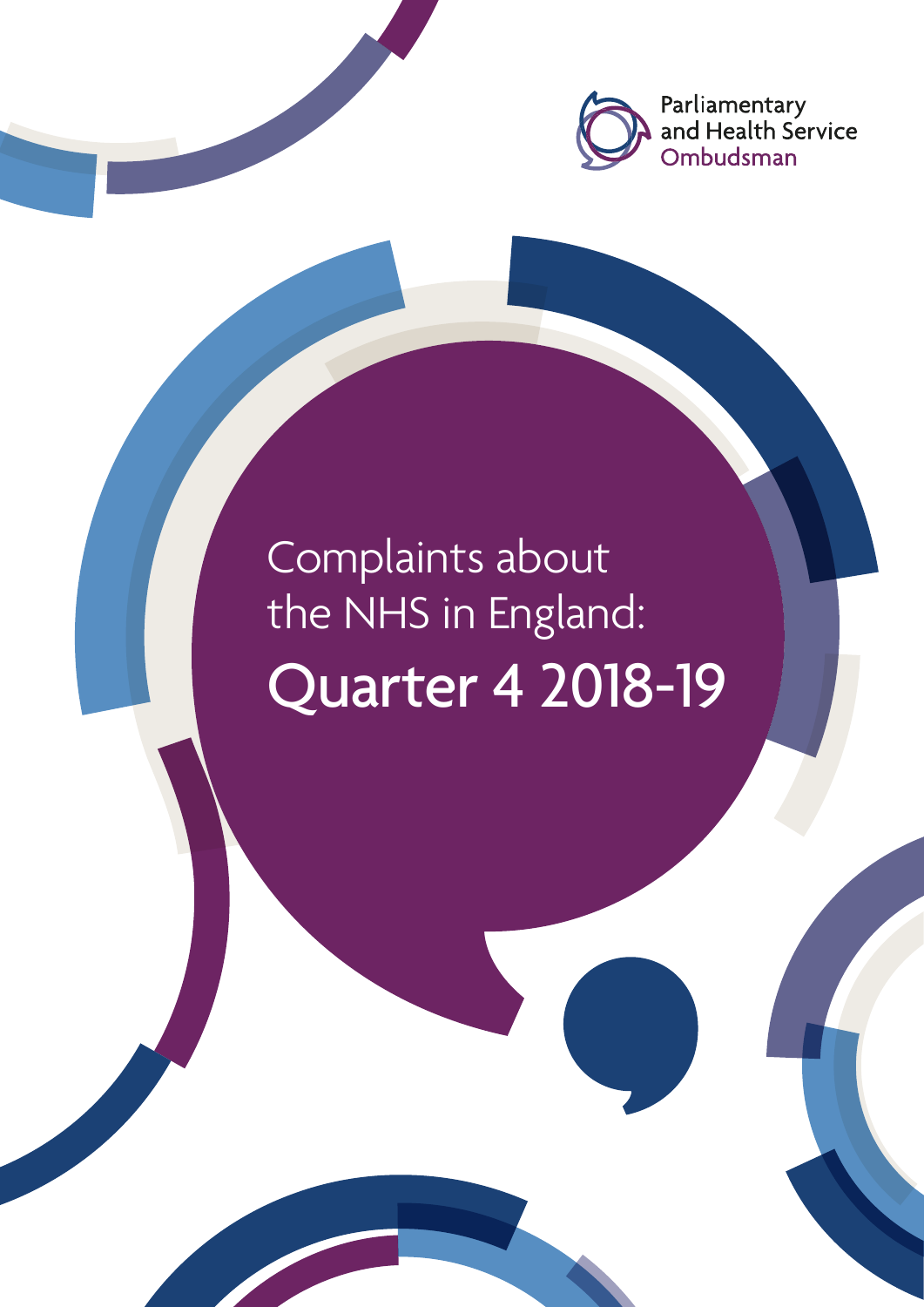

# Quarter 4 2018-19 Complaints about the NHS in England: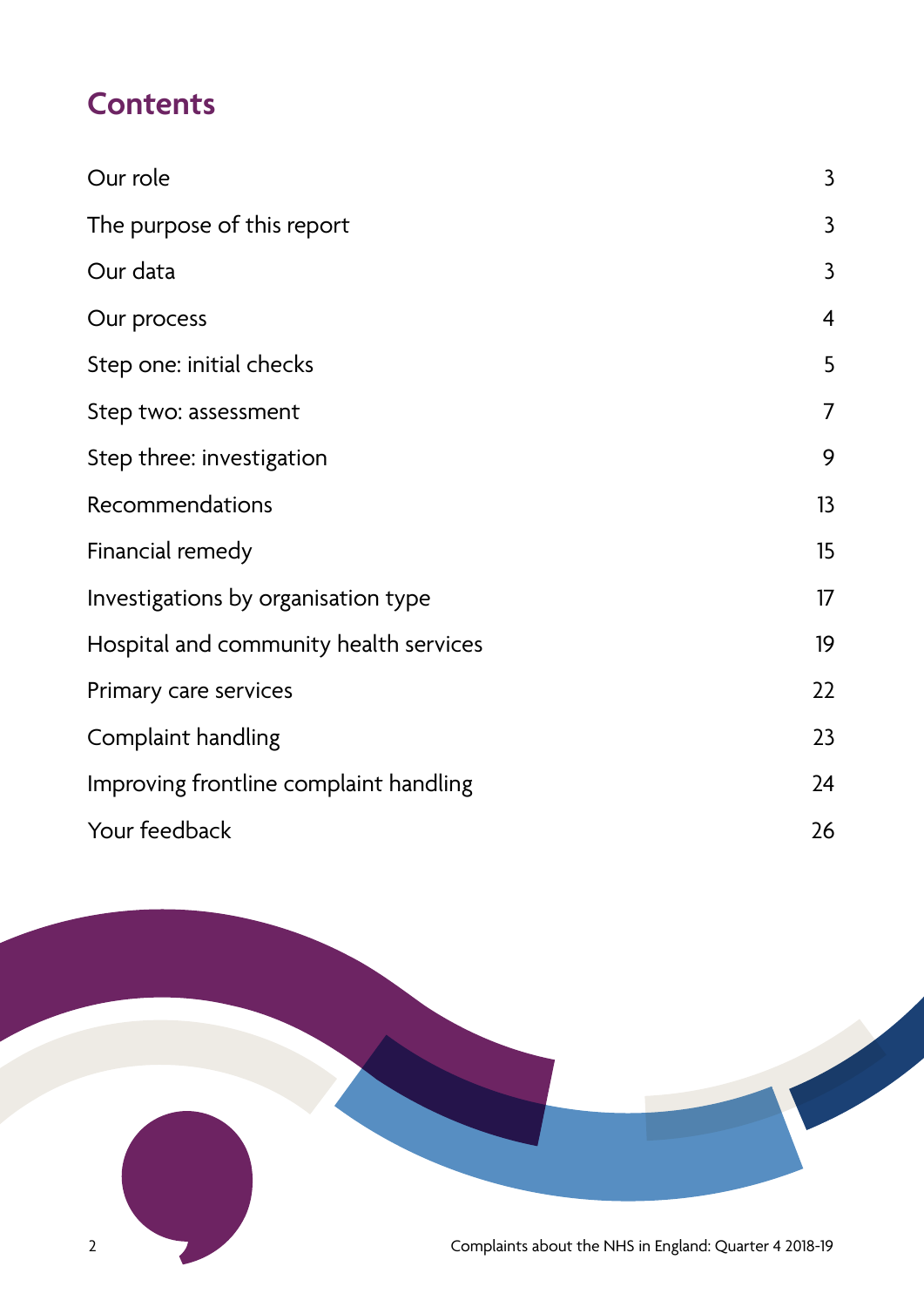### **Contents**

| Our role                               | 3  |
|----------------------------------------|----|
| The purpose of this report             | 3  |
| Our data                               | 3  |
| Our process                            | 4  |
| Step one: initial checks               | 5  |
| Step two: assessment                   | 7  |
| Step three: investigation              | 9  |
| Recommendations                        | 13 |
| Financial remedy                       | 15 |
| Investigations by organisation type    | 17 |
| Hospital and community health services | 19 |
| Primary care services                  | 22 |
| Complaint handling                     | 23 |
| Improving frontline complaint handling | 24 |
| Your feedback                          | 26 |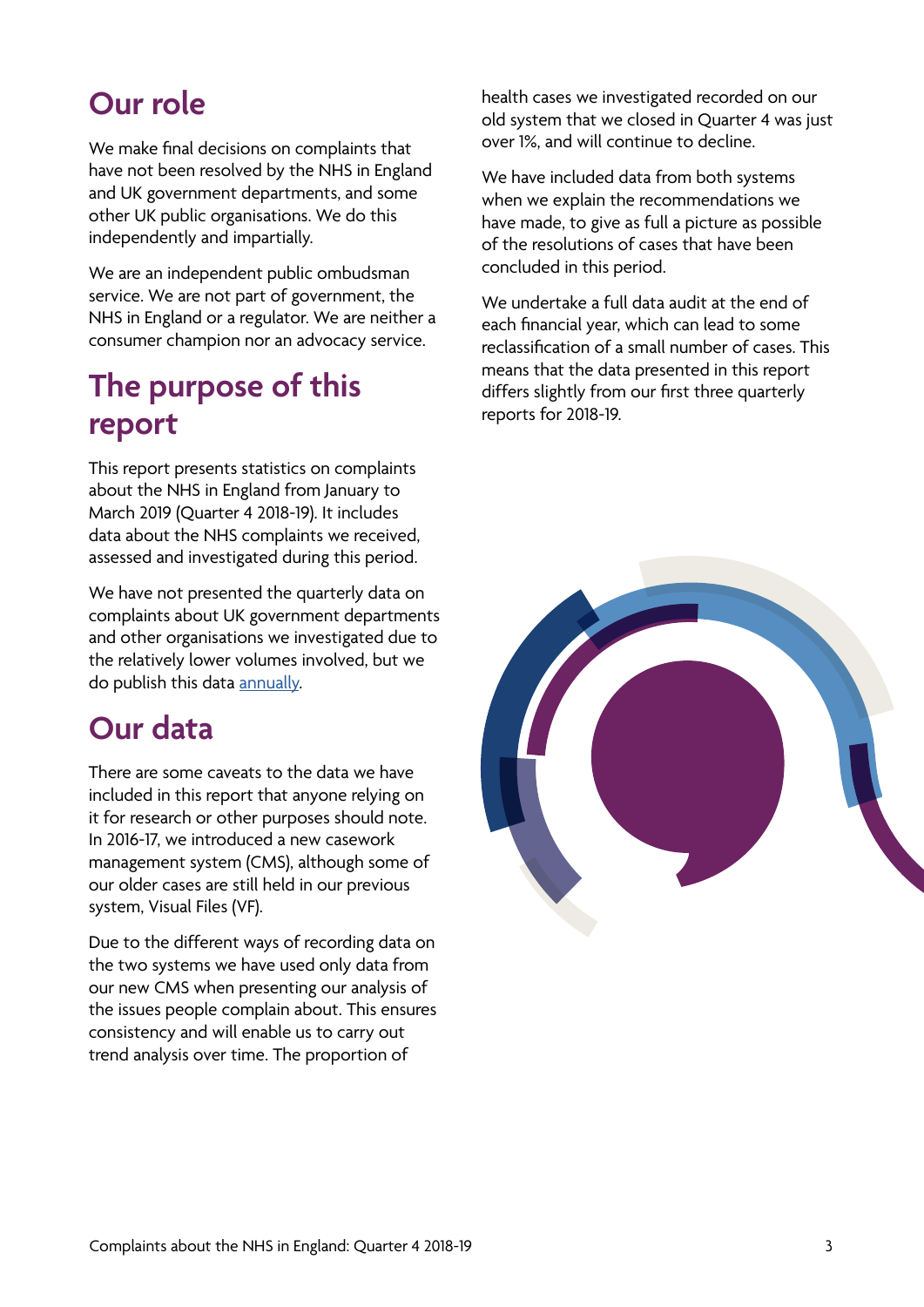### <span id="page-2-0"></span>**Our role**

We make final decisions on complaints that have not been resolved by the NHS in England and UK government departments, and some other UK public organisations. We do this independently and impartially.

We are an independent public ombudsman service. We are not part of government, the NHS in England or a regulator. We are neither a consumer champion nor an advocacy service.

### **The purpose of this report**

This report presents statistics on complaints about the NHS in England from January to March 2019 (Quarter 4 2018-19). It includes data about the NHS complaints we received, assessed and investigated during this period.

We have not presented the quarterly data on complaints about UK government departments and other organisations we investigated due to the relatively lower volumes involved, but we do publish this data [annually.](https://www.ombudsman.org.uk/publications/complaints-about-uk-government-departments-and-agencies-2017-18-0)

### **Our data**

There are some caveats to the data we have included in this report that anyone relying on it for research or other purposes should note. In 2016-17, we introduced a new casework management system (CMS), although some of our older cases are still held in our previous system, Visual Files (VF).

Due to the different ways of recording data on the two systems we have used only data from our new CMS when presenting our analysis of the issues people complain about. This ensures consistency and will enable us to carry out trend analysis over time. The proportion of

health cases we investigated recorded on our old system that we closed in Quarter 4 was just over 1%, and will continue to decline.

We have included data from both systems when we explain the recommendations we have made, to give as full a picture as possible of the resolutions of cases that have been concluded in this period.

We undertake a full data audit at the end of each financial year, which can lead to some reclassification of a small number of cases. This means that the data presented in this report differs slightly from our first three quarterly reports for 2018-19.

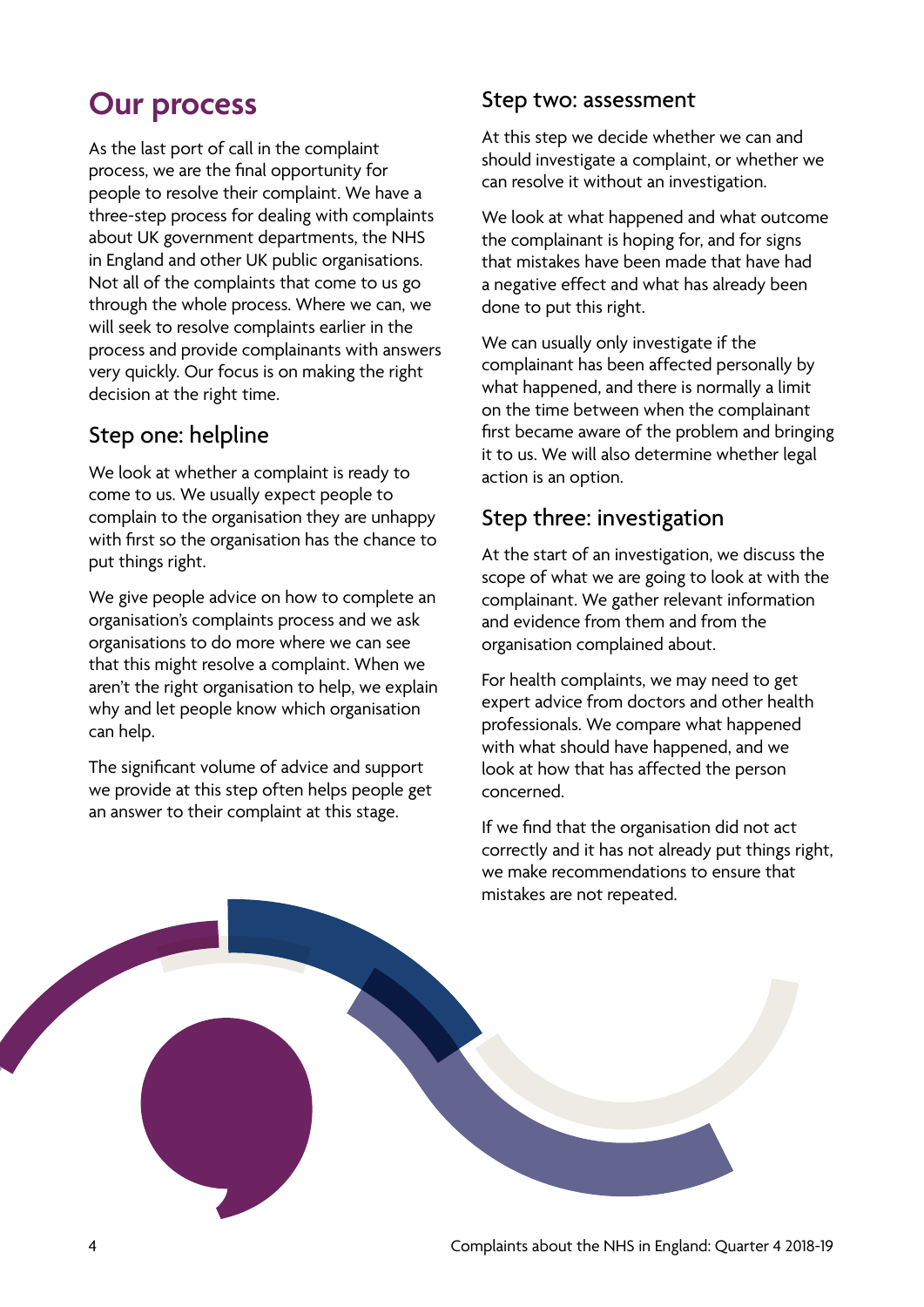### <span id="page-3-0"></span>**Our process**

As the last port of call in the complaint process, we are the final opportunity for people to resolve their complaint. We have a three-step process for dealing with complaints about UK government departments, the NHS in England and other UK public organisations. Not all of the complaints that come to us go through the whole process. Where we can, we will seek to resolve complaints earlier in the process and provide complainants with answers very quickly. Our focus is on making the right decision at the right time.

#### Step one: helpline

We look at whether a complaint is ready to come to us. We usually expect people to complain to the organisation they are unhappy with first so the organisation has the chance to put things right.

We give people advice on how to complete an organisation's complaints process and we ask organisations to do more where we can see that this might resolve a complaint. When we aren't the right organisation to help, we explain why and let people know which organisation can help.

The significant volume of advice and support we provide at this step often helps people get an answer to their complaint at this stage.

#### Step two: assessment

At this step we decide whether we can and should investigate a complaint, or whether we can resolve it without an investigation.

We look at what happened and what outcome the complainant is hoping for, and for signs that mistakes have been made that have had a negative effect and what has already been done to put this right.

We can usually only investigate if the complainant has been affected personally by what happened, and there is normally a limit on the time between when the complainant first became aware of the problem and bringing it to us. We will also determine whether legal action is an option.

#### Step three: investigation

At the start of an investigation, we discuss the scope of what we are going to look at with the complainant. We gather relevant information and evidence from them and from the organisation complained about.

For health complaints, we may need to get expert advice from doctors and other health professionals. We compare what happened with what should have happened, and we look at how that has affected the person concerned.

If we find that the organisation did not act correctly and it has not already put things right, we make recommendations to ensure that mistakes are not repeated.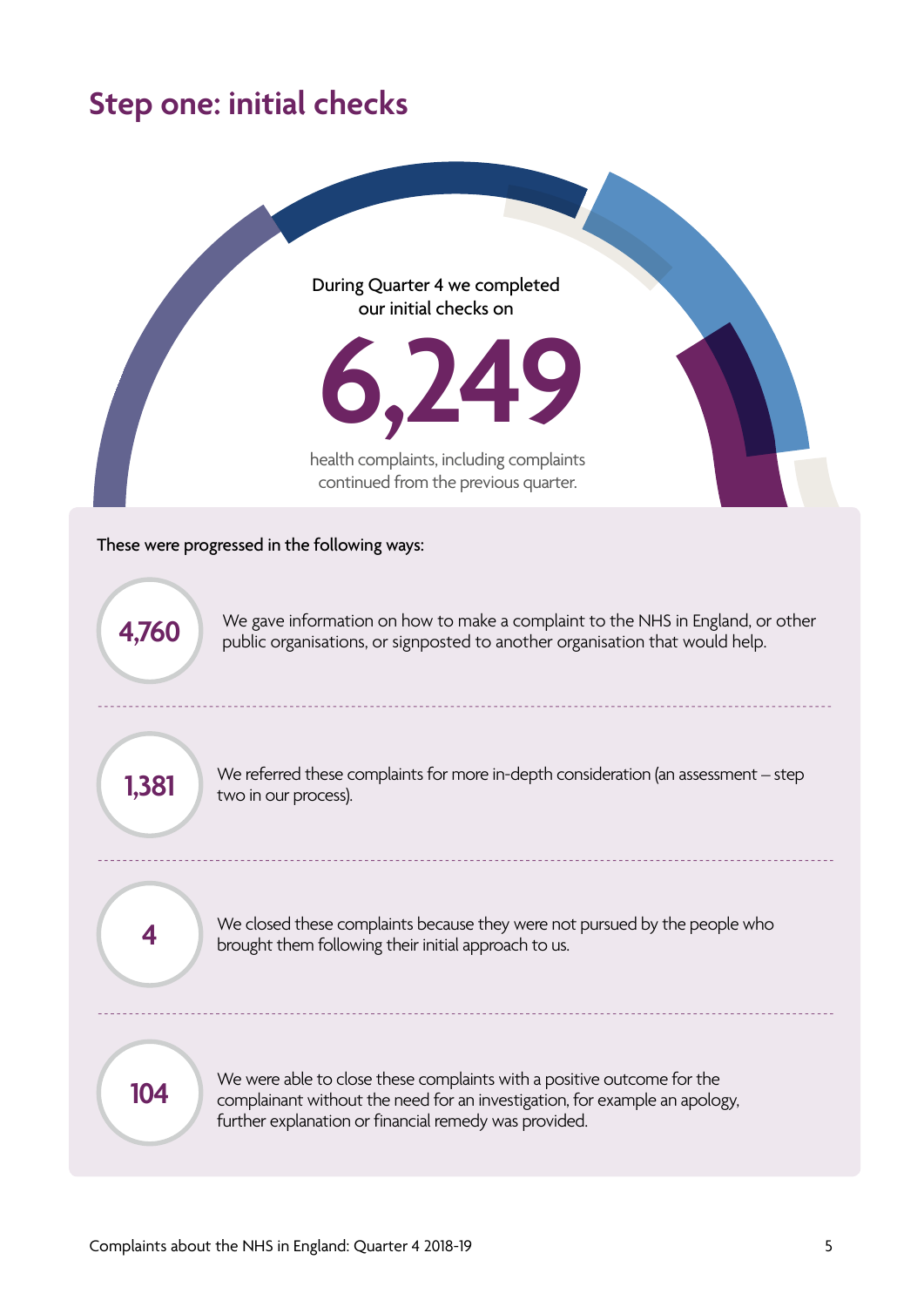### <span id="page-4-0"></span>**Step one: initial checks**

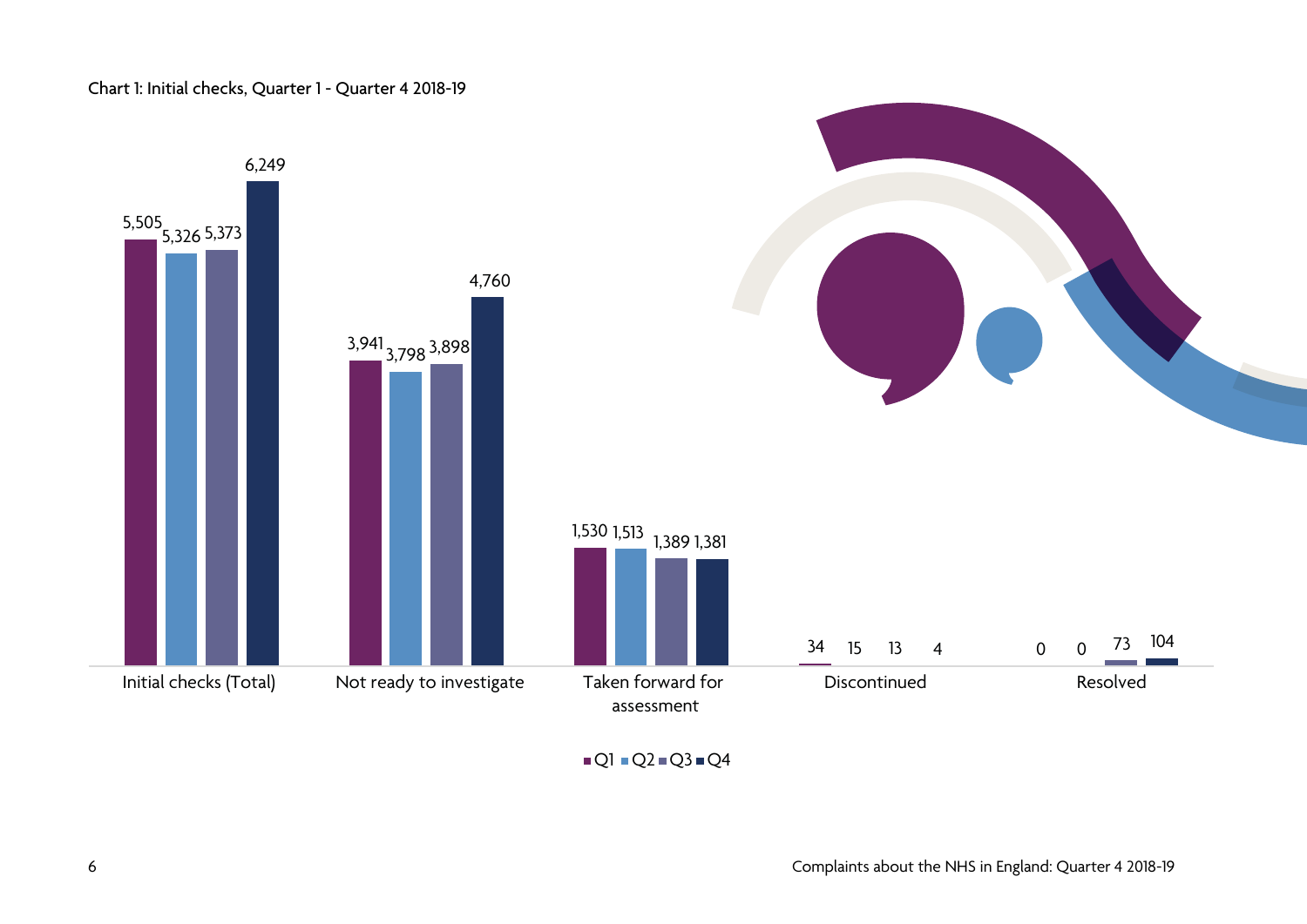#### Chart 1: Initial checks, Quarter 1 - Quarter 4 2018-19



 $\blacksquare$  Q1  $\blacksquare$  Q2  $\blacksquare$  Q3  $\blacksquare$  Q4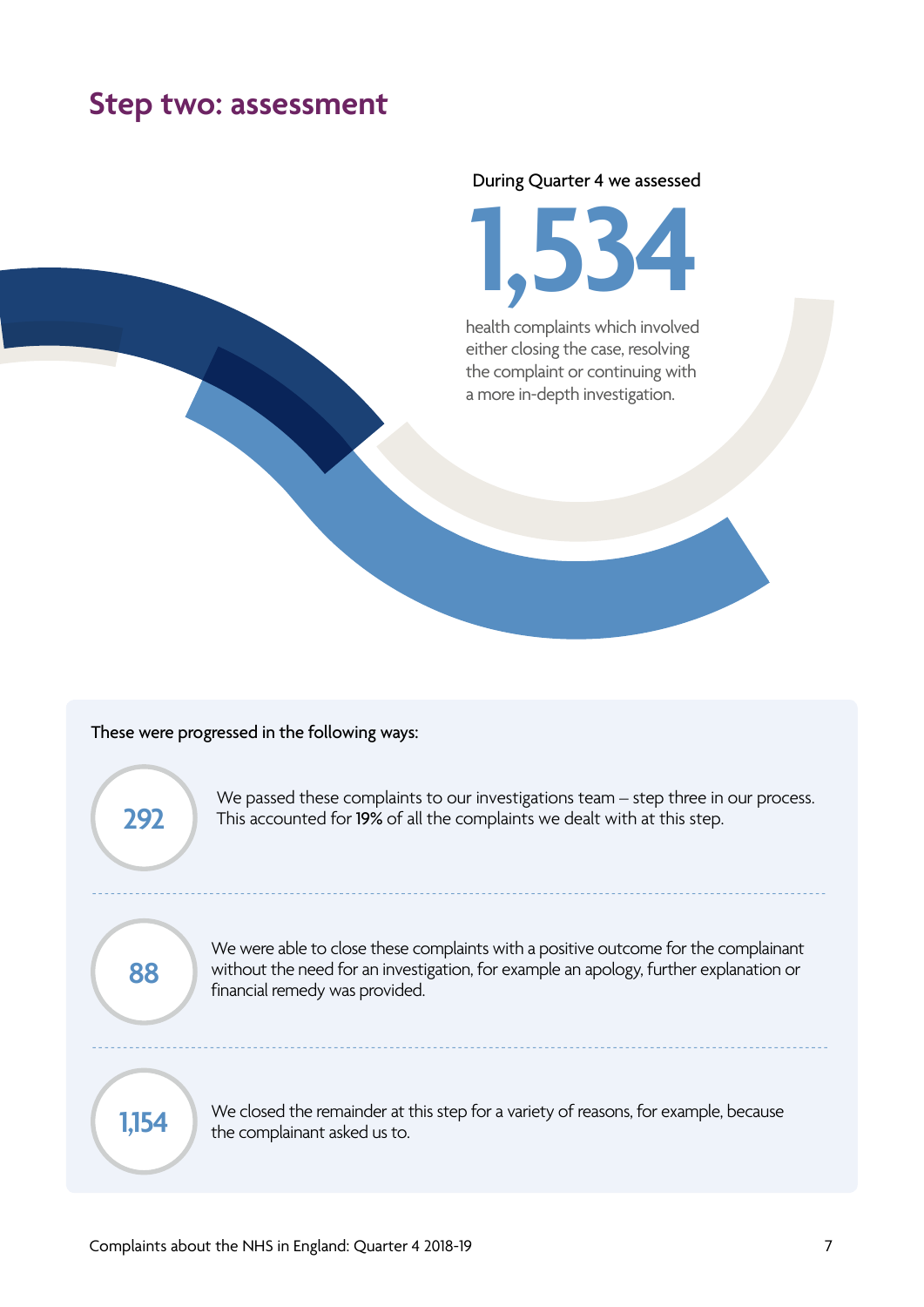### <span id="page-6-0"></span>**Step two: assessment**

#### During Quarter 4 we assessed

**1,534** 

health complaints which involved either closing the case, resolving the complaint or continuing with a more in-depth investigation.

#### These were progressed in the following ways:



We passed these complaints to our investigations team – step three in our process. 292 **This accounted for 19% of all the complaints we dealt with at this step.** 

**88** 

We were able to close these complaints with a positive outcome for the complainant without the need for an investigation, for example an apology, further explanation or financial remedy was provided.

**1,154** We closed the remainder at this step for a variety of reasons, for example, because the complainant asked us to.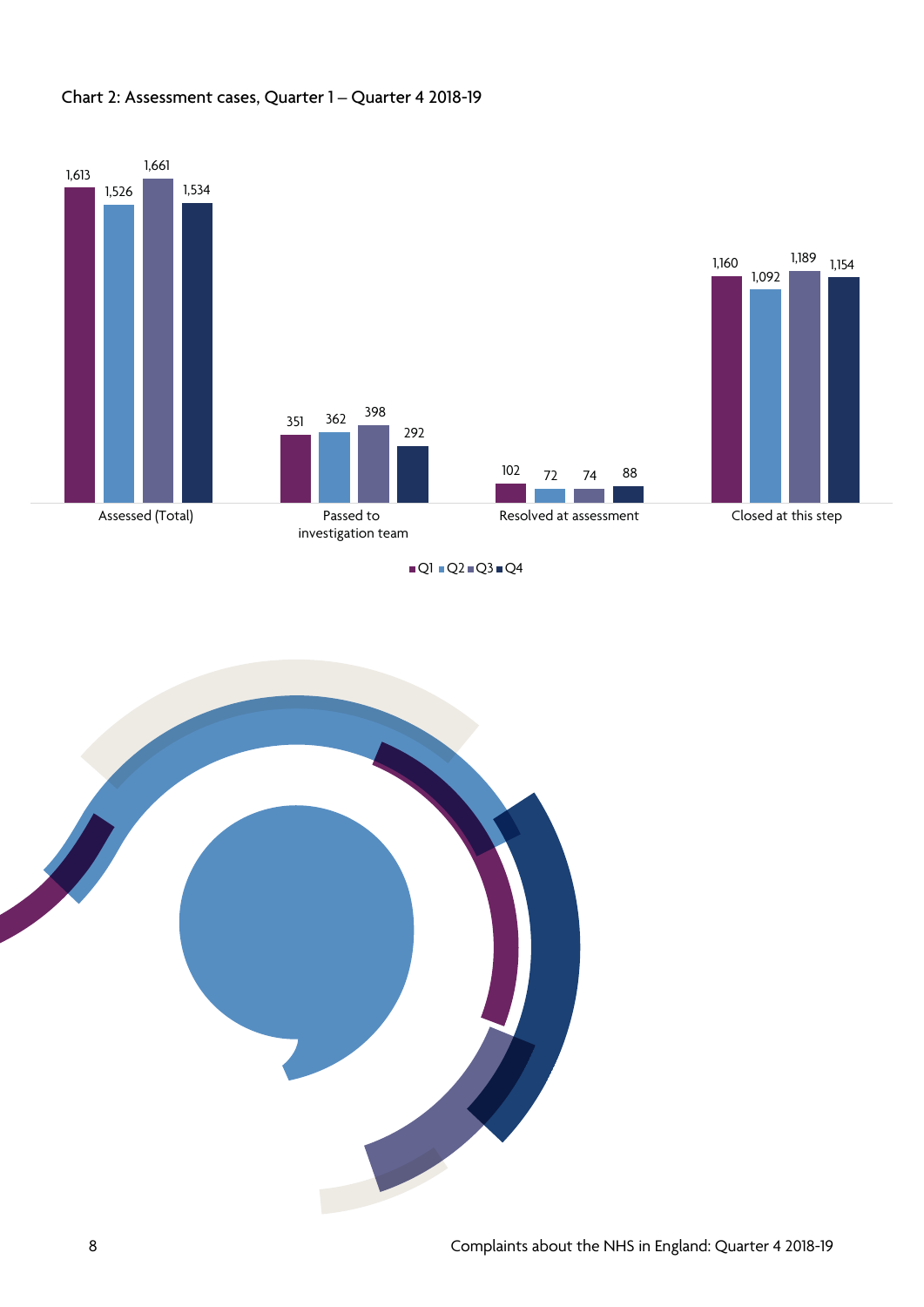

#### Chart 2: Assessment cases, Quarter 1 – Quarter 4 2018-19

 $\blacksquare$  Q1  $\blacksquare$  Q2  $\blacksquare$  Q3  $\blacksquare$  Q4

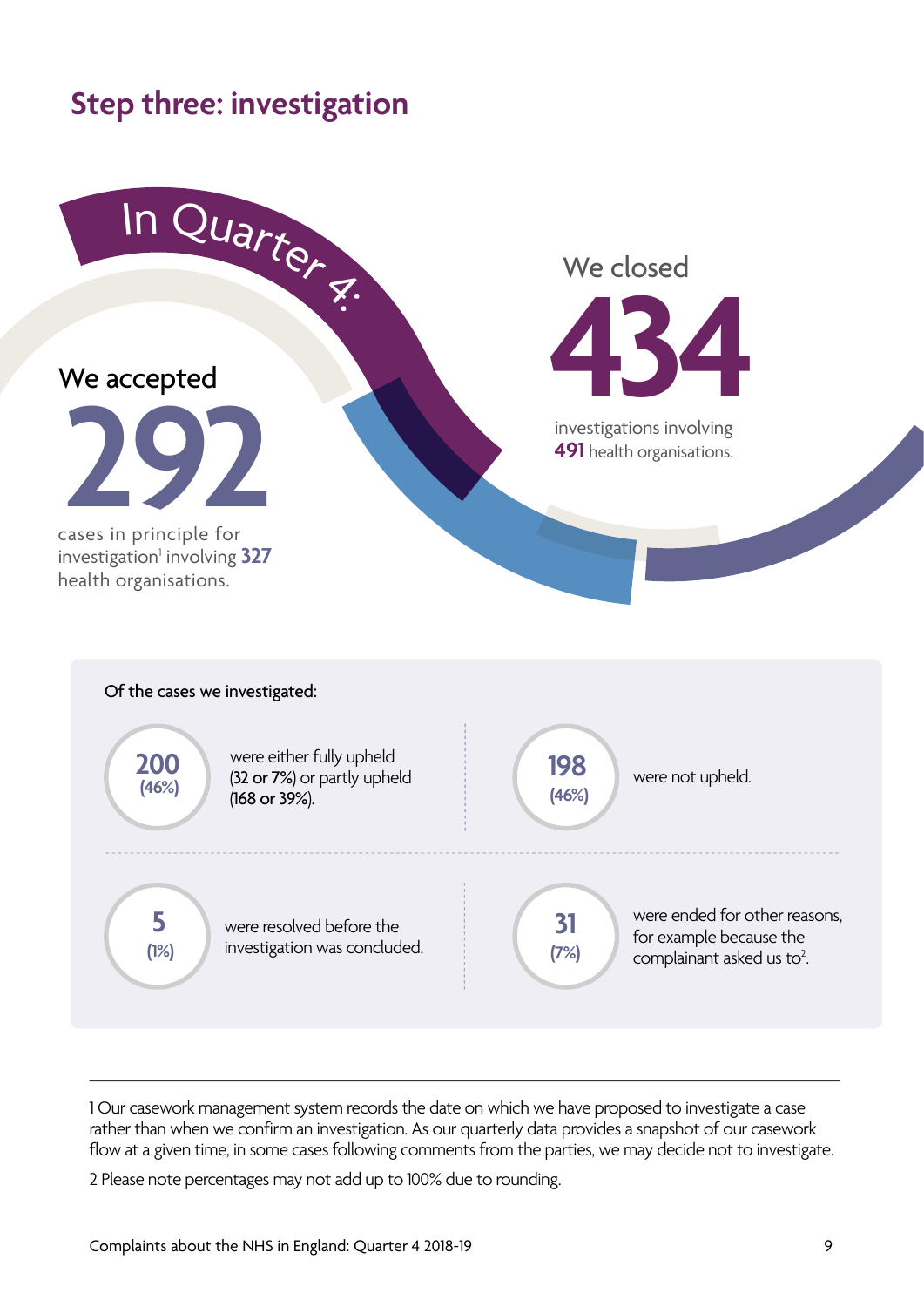### <span id="page-8-0"></span>**Step three: investigation**



1 Our casework management system records the date on which we have proposed to investigate a case rather than when we confirm an investigation. As our quarterly data provides a snapshot of our casework flow at a given time, in some cases following comments from the parties, we may decide not to investigate.

2 Please note percentages may not add up to 100% due to rounding.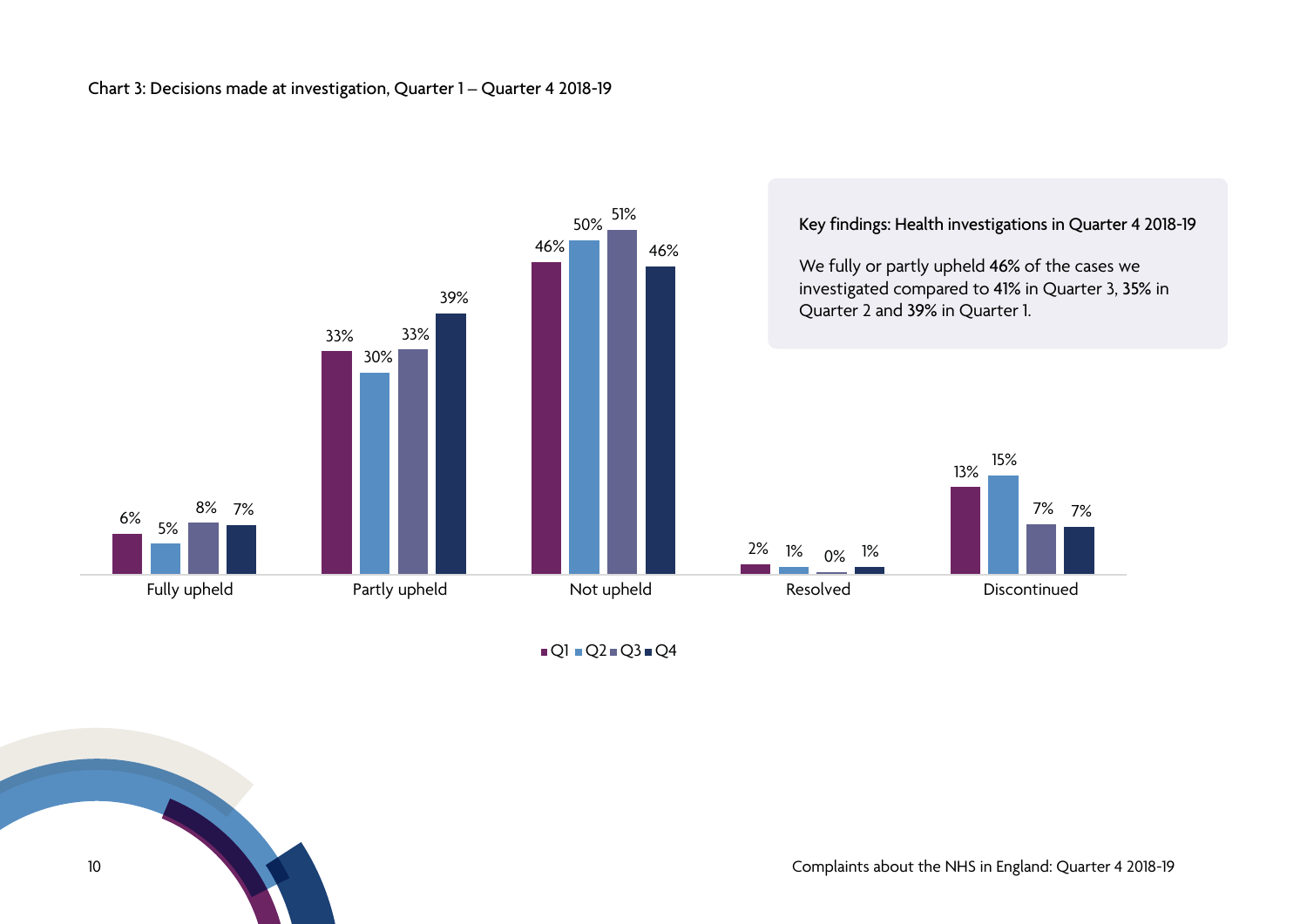

 $\blacksquare$  Q1  $\blacksquare$  Q2  $\blacksquare$  Q3  $\blacksquare$  Q4



10 Complaints about the NHS in England: Quarter 4 2018-19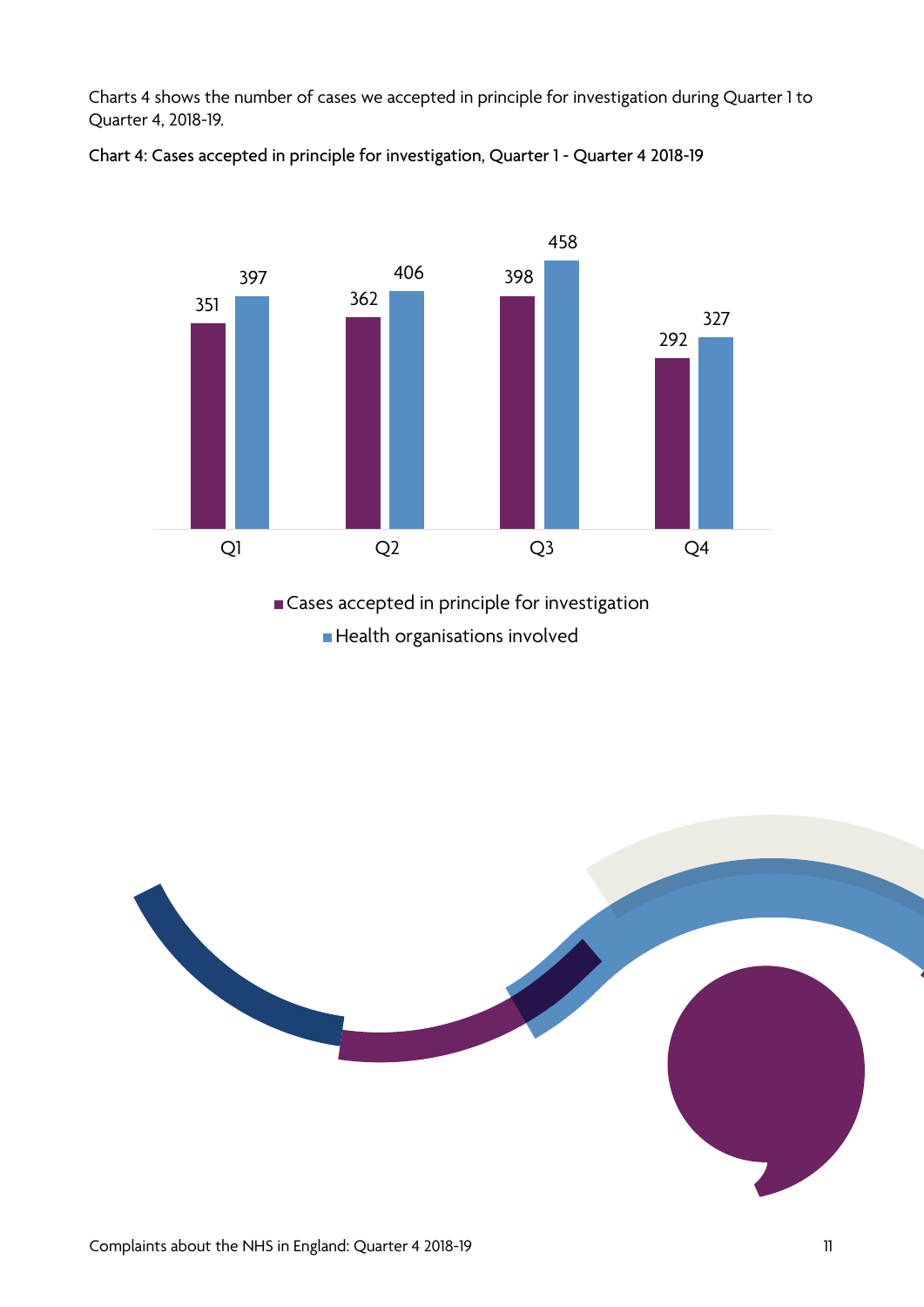Charts 4 shows the number of cases we accepted in principle for investigation during Quarter 1 to Quarter 4, 2018-19.



Chart 4: Cases accepted in principle for investigation, Quarter 1 - Quarter 4 2018-19



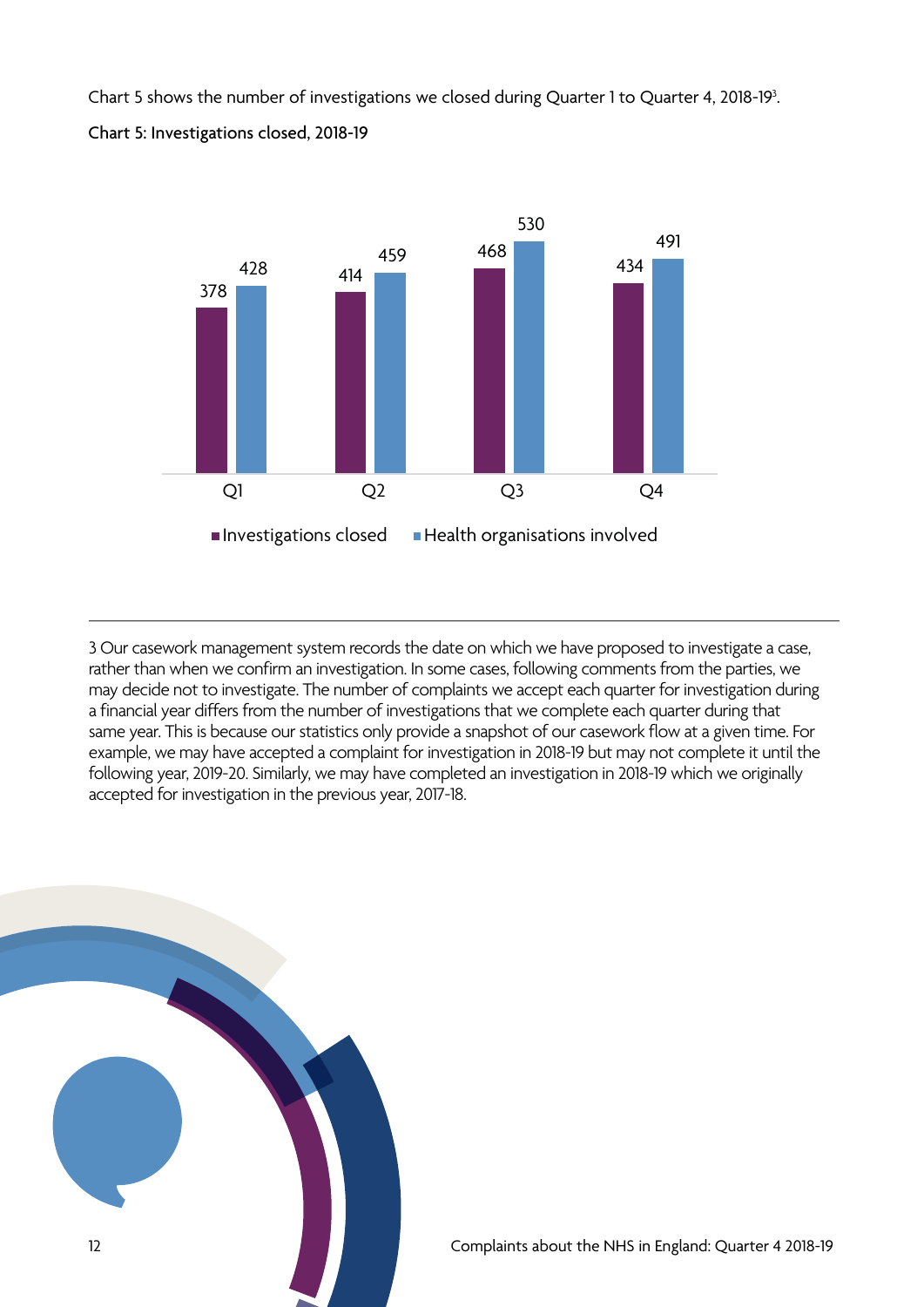Chart 5 shows the number of investigations we closed during Quarter 1 to Quarter 4, 2018-19<sup>3</sup>. Chart 5: Investigations closed, 2018-19



3 Our casework management system records the date on which we have proposed to investigate a case, rather than when we confirm an investigation. In some cases, following comments from the parties, we may decide not to investigate. The number of complaints we accept each quarter for investigation during a financial year differs from the number of investigations that we complete each quarter during that same year. This is because our statistics only provide a snapshot of our casework flow at a given time. For example, we may have accepted a complaint for investigation in 2018-19 but may not complete it until the following year, 2019-20. Similarly, we may have completed an investigation in 2018-19 which we originally accepted for investigation in the previous year, 2017-18.

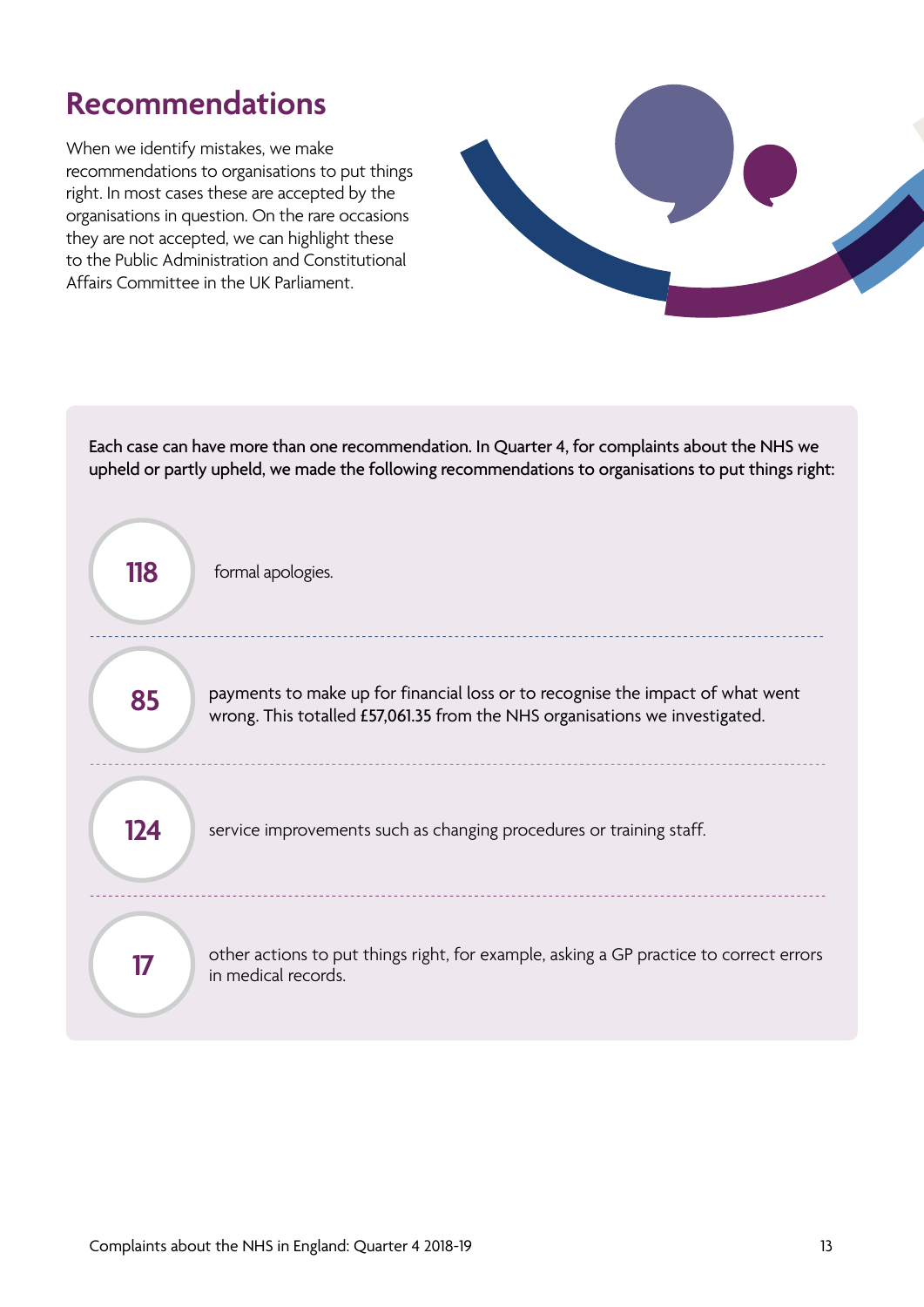### <span id="page-12-0"></span>**Recommendations**

When we identify mistakes, we make recommendations to organisations to put things right. In most cases these are accepted by the organisations in question. On the rare occasions they are not accepted, we can highlight these to the Public Administration and Constitutional Affairs Committee in the UK Parliament.



Each case can have more than one recommendation. In Quarter 4, for complaints about the NHS we upheld or partly upheld, we made the following recommendations to organisations to put things right:

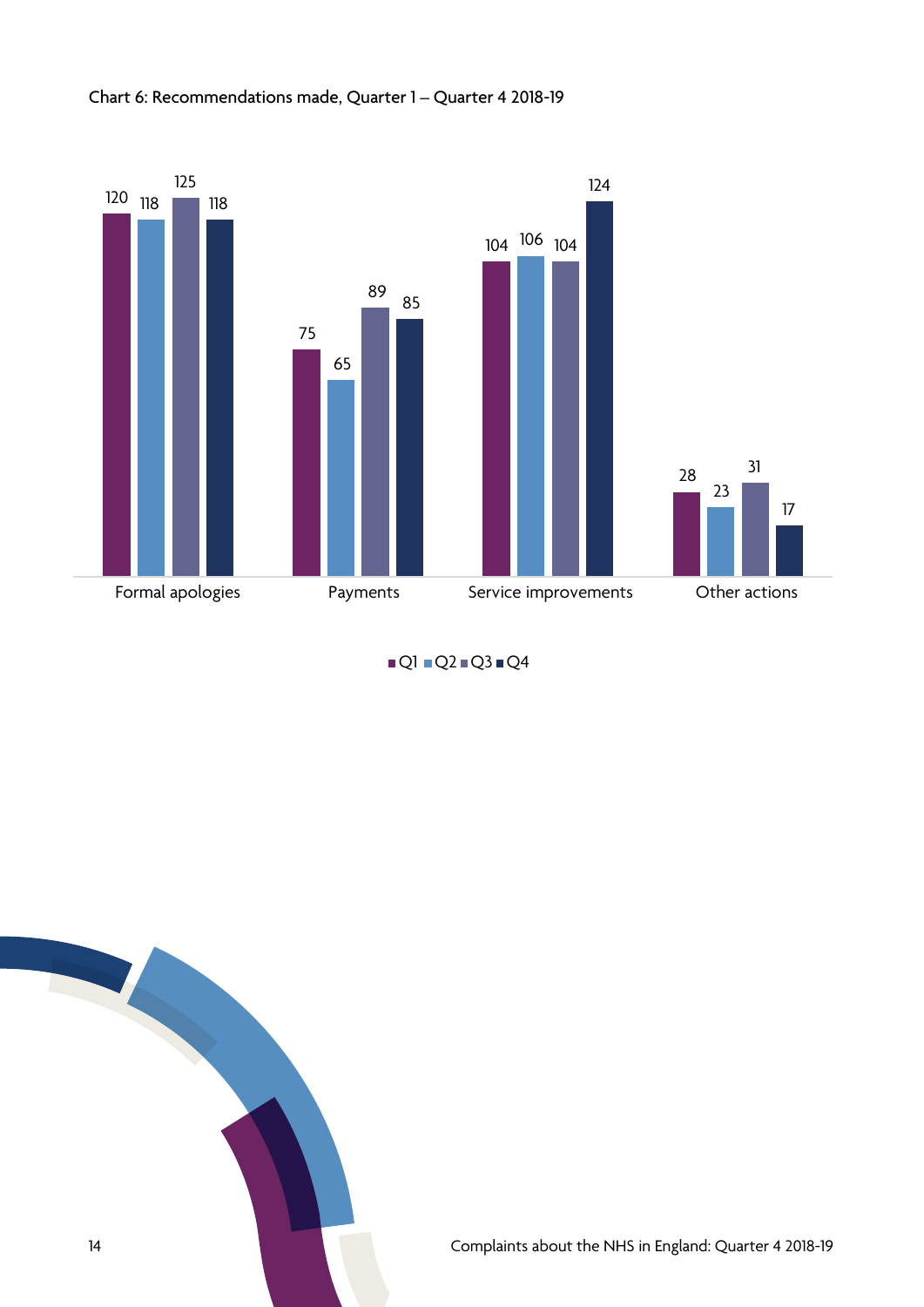

#### Chart 6: Recommendations made, Quarter 1 – Quarter 4 2018-19

 $\blacksquare$  Q1  $\blacksquare$  Q2  $\blacksquare$  Q3  $\blacksquare$  Q4



14 Complaints about the NHS in England: Quarter 4 2018-19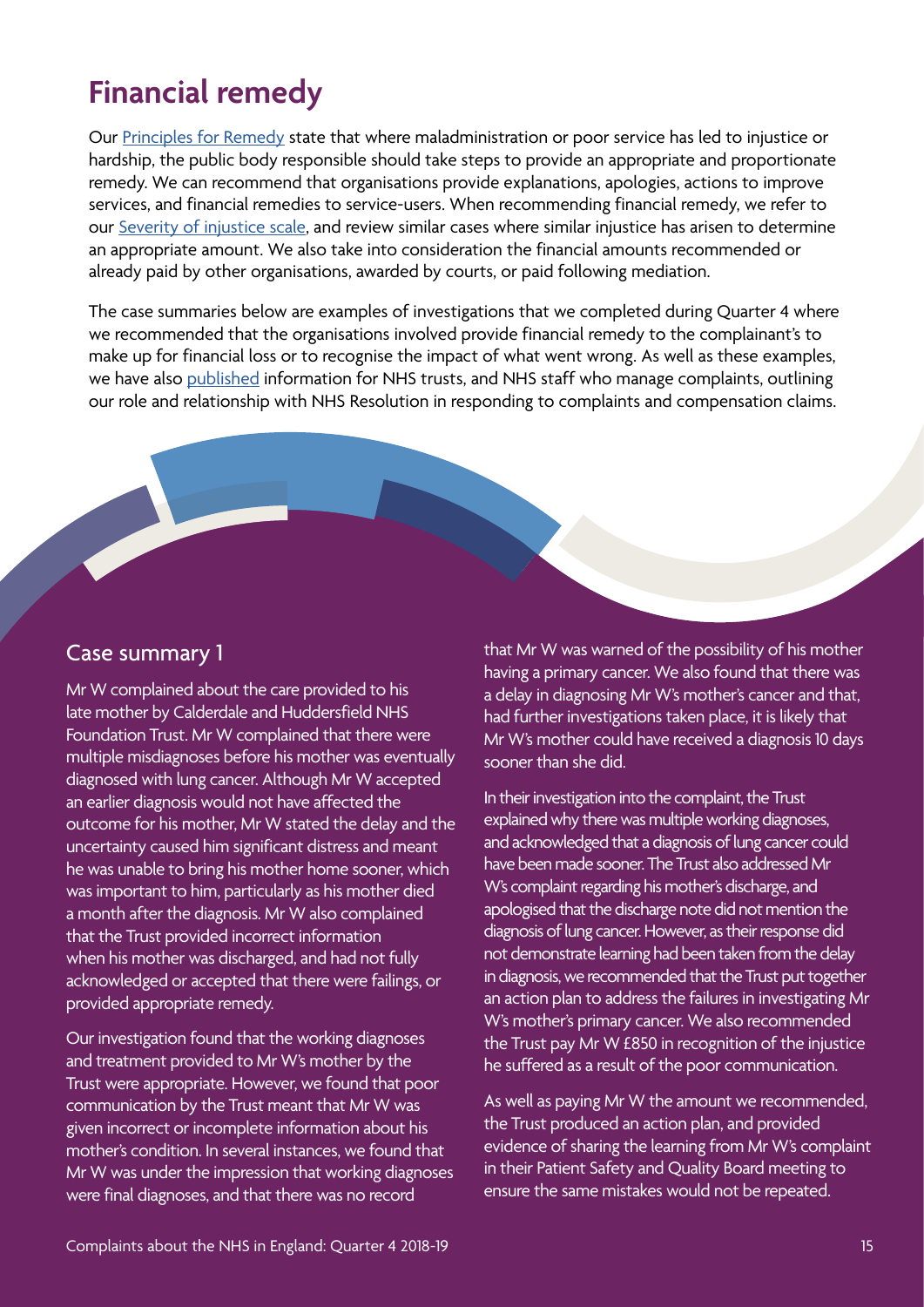### <span id="page-14-0"></span>**Financial remedy**

Our [Principles for Remedy](https://www.ombudsman.org.uk/about-us/our-principles/principles-remedy) state that where maladministration or poor service has led to injustice or hardship, the public body responsible should take steps to provide an appropriate and proportionate remedy. We can recommend that organisations provide explanations, apologies, actions to improve services, and financial remedies to service-users. When recommending financial remedy, we refer to our [Severity of injustice scale](https://www.ombudsman.org.uk/sites/default/files/Our-guidance-on-financial-remedy-1.pdf), and review similar cases where similar injustice has arisen to determine an appropriate amount. We also take into consideration the financial amounts recommended or already paid by other organisations, awarded by courts, or paid following mediation.

The case summaries below are examples of investigations that we completed during Quarter 4 where we recommended that the organisations involved provide financial remedy to the complainant's to make up for financial loss or to recognise the impact of what went wrong. As well as these examples, we have also [published](https://www.ombudsman.org.uk/publications/roles-parliamentary-and-health-service-ombudsman-and-nhs-resolution-information) information for NHS trusts, and NHS staff who manage complaints, outlining our role and relationship with NHS Resolution in responding to complaints and compensation claims.

#### Case summary 1

Mr W complained about the care provided to his late mother by Calderdale and Huddersfield NHS Foundation Trust. Mr W complained that there were multiple misdiagnoses before his mother was eventually diagnosed with lung cancer. Although Mr W accepted an earlier diagnosis would not have affected the outcome for his mother, Mr W stated the delay and the uncertainty caused him significant distress and meant he was unable to bring his mother home sooner, which was important to him, particularly as his mother died a month after the diagnosis. Mr W also complained that the Trust provided incorrect information when his mother was discharged, and had not fully acknowledged or accepted that there were failings, or provided appropriate remedy.

Our investigation found that the working diagnoses and treatment provided to Mr W's mother by the Trust were appropriate. However, we found that poor communication by the Trust meant that Mr W was given incorrect or incomplete information about his mother's condition. In several instances, we found that Mr W was under the impression that working diagnoses were final diagnoses, and that there was no record

that Mr W was warned of the possibility of his mother having a primary cancer. We also found that there was a delay in diagnosing Mr W's mother's cancer and that, had further investigations taken place, it is likely that Mr W's mother could have received a diagnosis 10 days sooner than she did.

In their investigation into the complaint, the Trust explained why there was multiple working diagnoses, and acknowledged that a diagnosis of lung cancer could have been made sooner. The Trust also addressed Mr W's complaint regarding his mother's discharge, and apologised that the discharge note did not mention the diagnosis of lung cancer. However, as their response did not demonstrate learning had been taken from the delay in diagnosis, we recommended that the Trust put together an action plan to address the failures in investigating Mr W's mother's primary cancer. We also recommended the Trust pay Mr W £850 in recognition of the injustice he suffered as a result of the poor communication.

As well as paying Mr W the amount we recommended, the Trust produced an action plan, and provided evidence of sharing the learning from Mr W's complaint in their Patient Safety and Quality Board meeting to ensure the same mistakes would not be repeated.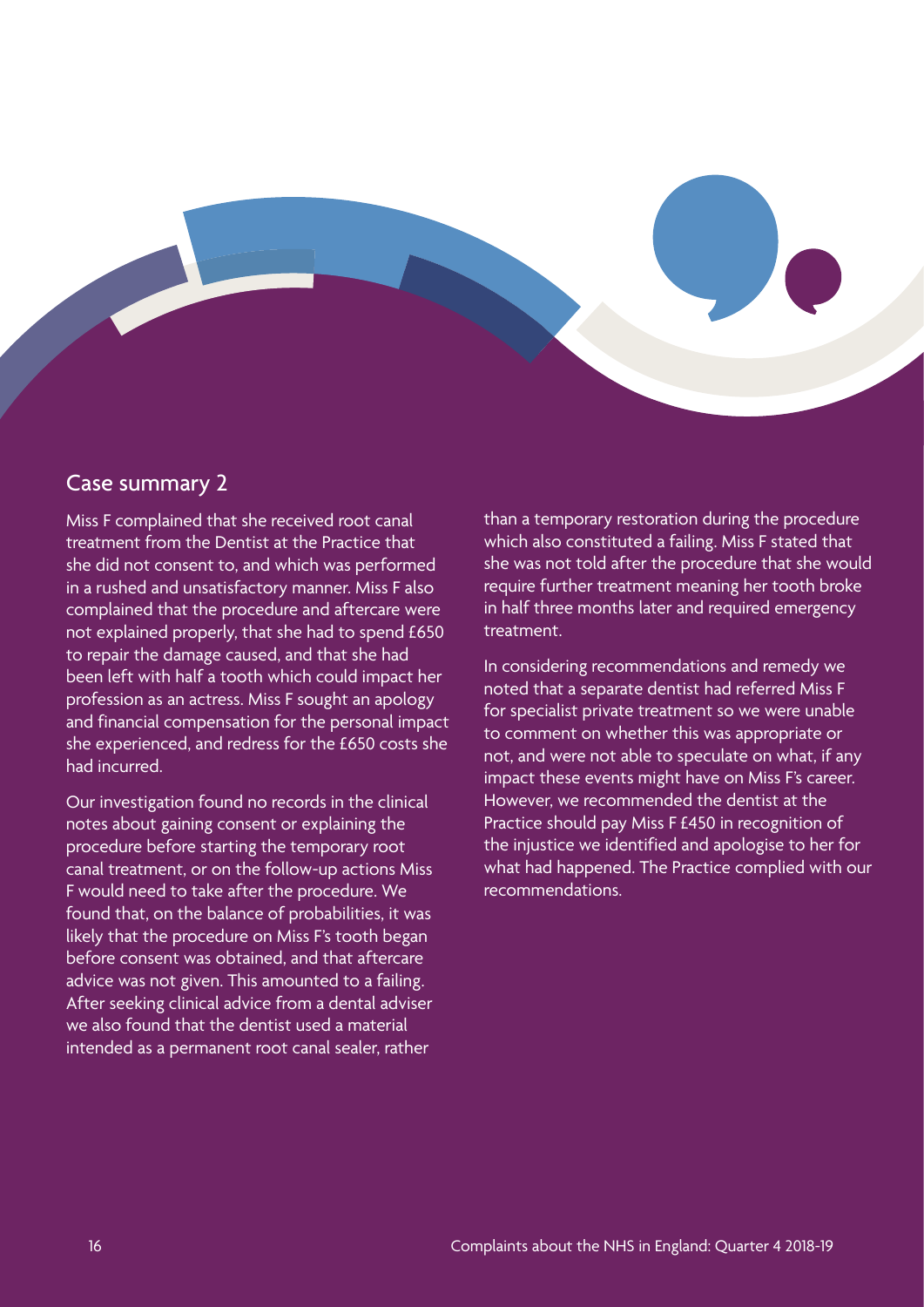### Case summary 2

Miss F complained that she received root canal treatment from the Dentist at the Practice that she did not consent to, and which was performed in a rushed and unsatisfactory manner. Miss F also complained that the procedure and aftercare were not explained properly, that she had to spend £650 to repair the damage caused, and that she had been left with half a tooth which could impact her profession as an actress. Miss F sought an apology and financial compensation for the personal impact she experienced, and redress for the £650 costs she had incurred.

Our investigation found no records in the clinical notes about gaining consent or explaining the procedure before starting the temporary root canal treatment, or on the follow-up actions Miss F would need to take after the procedure. We found that, on the balance of probabilities, it was likely that the procedure on Miss F's tooth began before consent was obtained, and that aftercare advice was not given. This amounted to a failing. After seeking clinical advice from a dental adviser we also found that the dentist used a material intended as a permanent root canal sealer, rather

than a temporary restoration during the procedure which also constituted a failing. Miss F stated that she was not told after the procedure that she would require further treatment meaning her tooth broke in half three months later and required emergency treatment.

In considering recommendations and remedy we noted that a separate dentist had referred Miss F for specialist private treatment so we were unable to comment on whether this was appropriate or not, and were not able to speculate on what, if any impact these events might have on Miss F's career. However, we recommended the dentist at the Practice should pay Miss F £450 in recognition of the injustice we identified and apologise to her for what had happened. The Practice complied with our recommendations.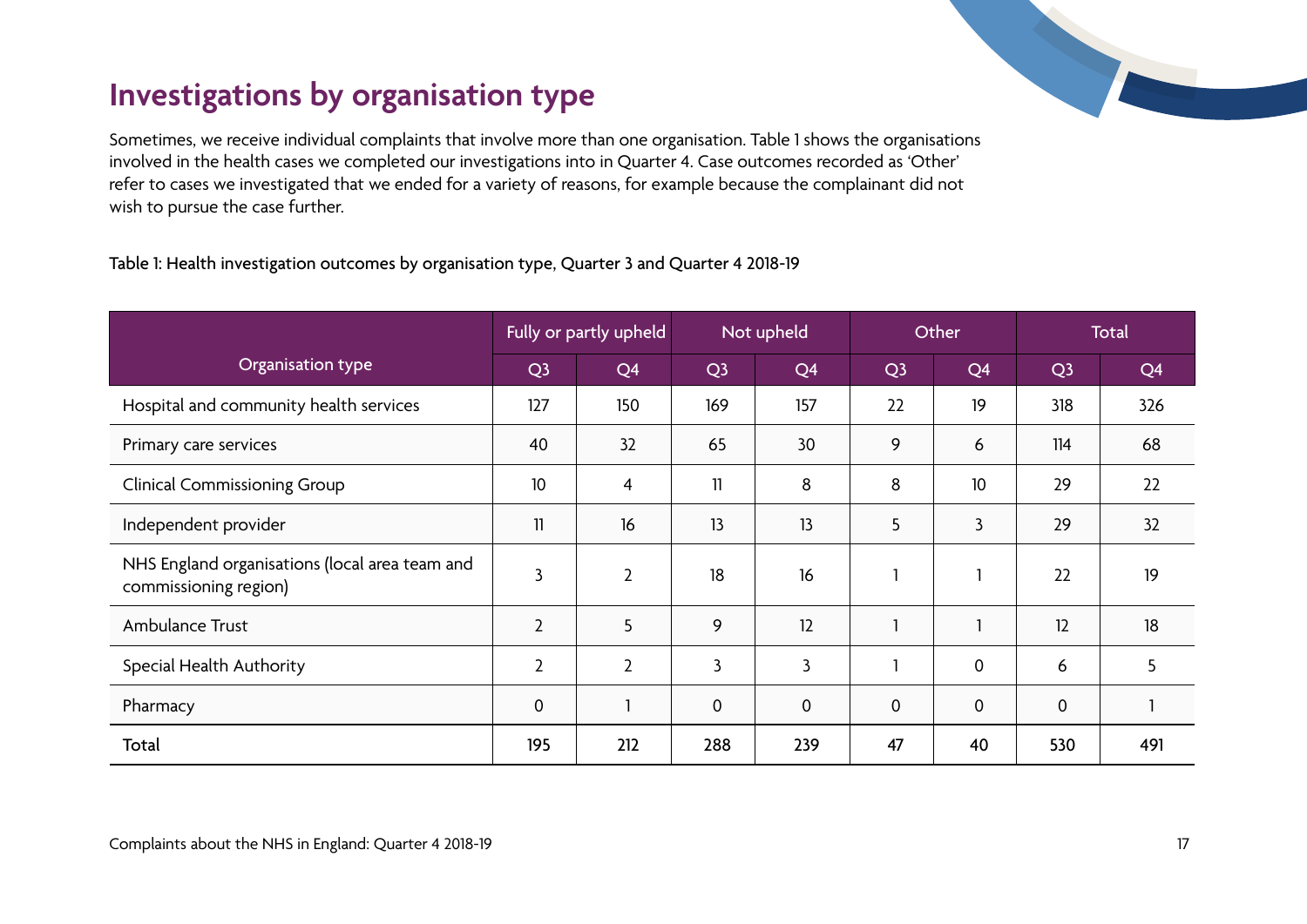

### <span id="page-16-0"></span>**Investigations by organisation type**

Sometimes, we receive individual complaints that involve more than one organisation. Table 1 shows the organisations involved in the health cases we completed our investigations into in Quarter 4. Case outcomes recorded as 'Other' refer to cases we investigated that we ended for a variety of reasons, for example because the complainant did not wish to pursue the case further.

Table 1: Health investigation outcomes by organisation type, Quarter 3 and Quarter 4 2018-19

|                                                                         | Fully or partly upheld |                | Not upheld     |                | Other          |                 | Total          |                |
|-------------------------------------------------------------------------|------------------------|----------------|----------------|----------------|----------------|-----------------|----------------|----------------|
| Organisation type                                                       | Q <sub>3</sub>         | Q <sub>4</sub> | Q <sub>3</sub> | Q <sub>4</sub> | Q <sub>3</sub> | Q <sub>4</sub>  | Q <sub>3</sub> | Q <sub>4</sub> |
| Hospital and community health services                                  | 127                    | 150            | 169            | 157            | 22             | 19              | 318            | 326            |
| Primary care services                                                   | 40                     | 32             | 65             | 30             | 9              | 6               | 114            | 68             |
| <b>Clinical Commissioning Group</b>                                     | 10                     | $\overline{4}$ | 11             | 8              | 8              | 10 <sup>°</sup> | 29             | 22             |
| Independent provider                                                    | $\mathbf{1}$           | 16             | 13             | 13             | 5              | 3               | 29             | 32             |
| NHS England organisations (local area team and<br>commissioning region) | $\mathbf{3}$           | $\overline{2}$ | 18             | 16             |                |                 | 22             | 19             |
| Ambulance Trust                                                         | $\overline{2}$         | 5              | 9              | 12             |                |                 | 12             | 18             |
| Special Health Authority                                                | $\overline{2}$         | $\overline{2}$ | $\mathbf{3}$   | 3              |                | $\mathbf 0$     | 6              | 5              |
| Pharmacy                                                                | $\mathbf 0$            | 1              | $\mathbf 0$    | $\overline{0}$ | $\mathbf 0$    | $\mathbf 0$     | $\mathbf 0$    | 1              |
| Total                                                                   | 195                    | 212            | 288            | 239            | 47             | 40              | 530            | 491            |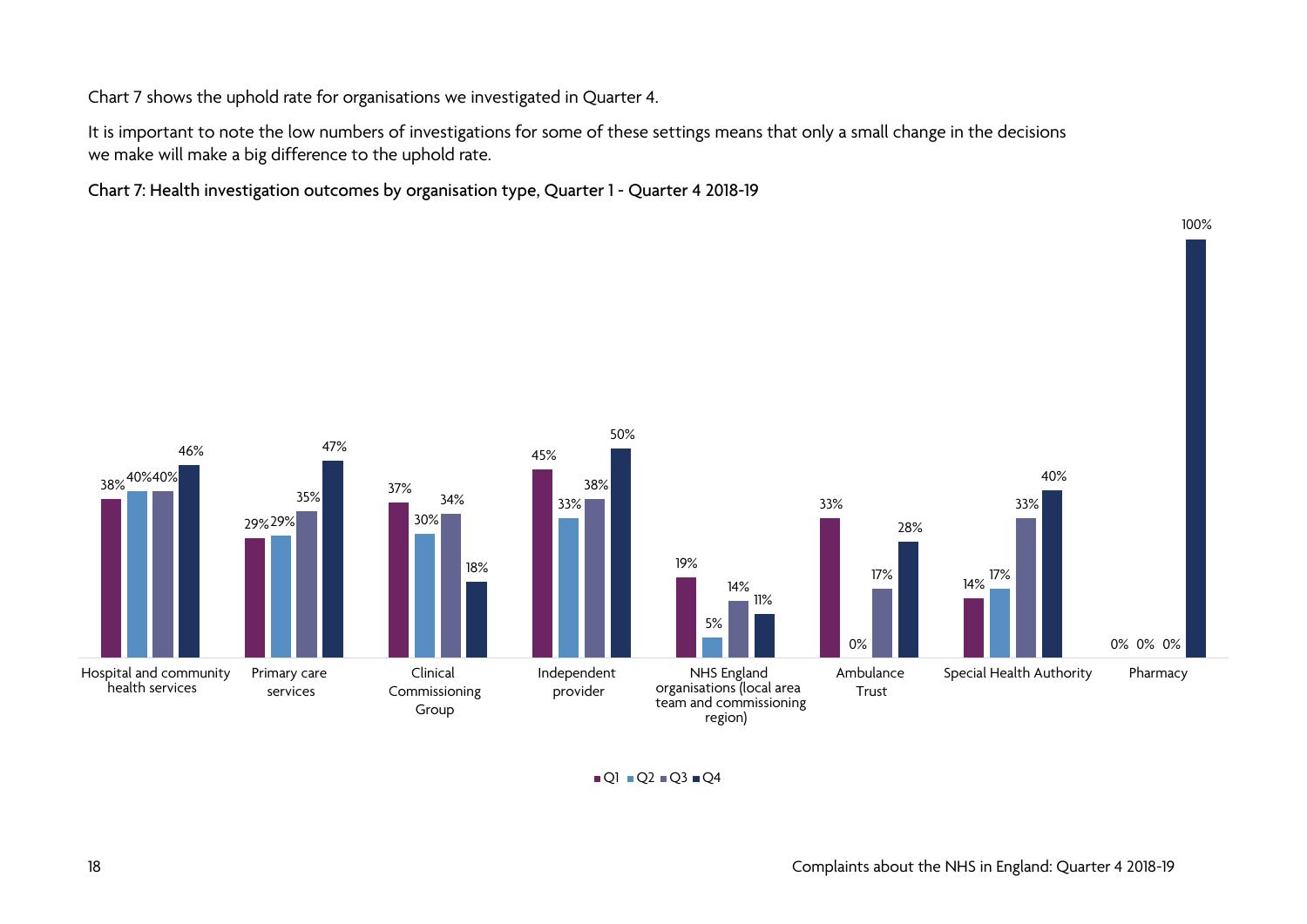Chart 7 shows the uphold rate for organisations we investigated in Quarter 4.

It is important to note the low numbers of investigations for some of these settings means that only a small change in the decisions we make will make a big difference to the uphold rate.

Chart 7: Health investigation outcomes by organisation type, Quarter 1 - Quarter 4 2018-19



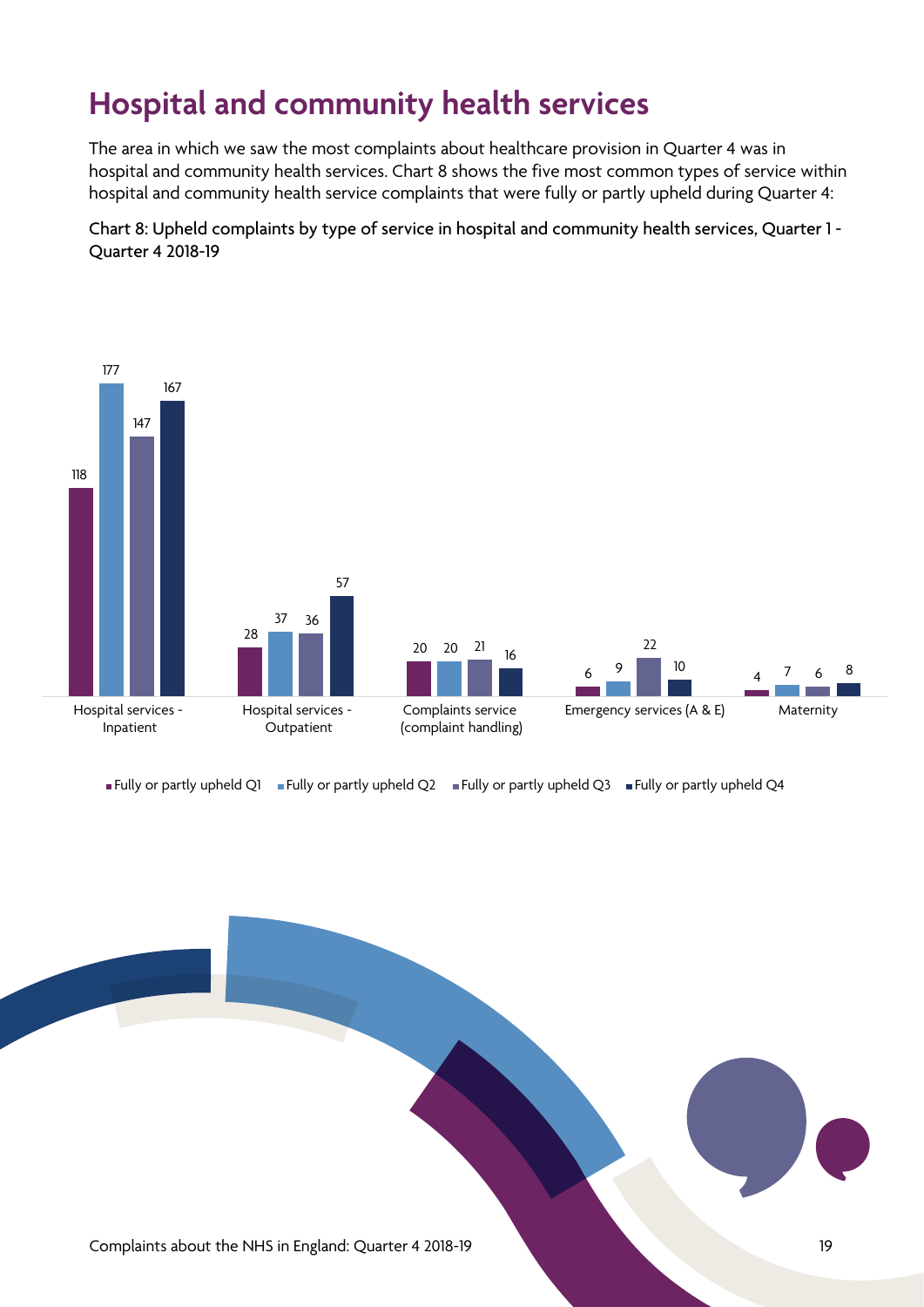### <span id="page-18-0"></span>**Hospital and community health services**

The area in which we saw the most complaints about healthcare provision in Quarter 4 was in hospital and community health services. Chart 8 shows the five most common types of service within hospital and community health service complaints that were fully or partly upheld during Quarter 4:

Chart 8: Upheld complaints by type of service in hospital and community health services, Quarter 1 - Quarter 4 2018-19



 $\blacksquare$  Fully or partly upheld Q1  $\blacksquare$  Fully or partly upheld Q2  $\blacksquare$  Fully or partly upheld Q4  $\blacksquare$ 

Complaints about the NHS in England: Quarter 4 2018-19 19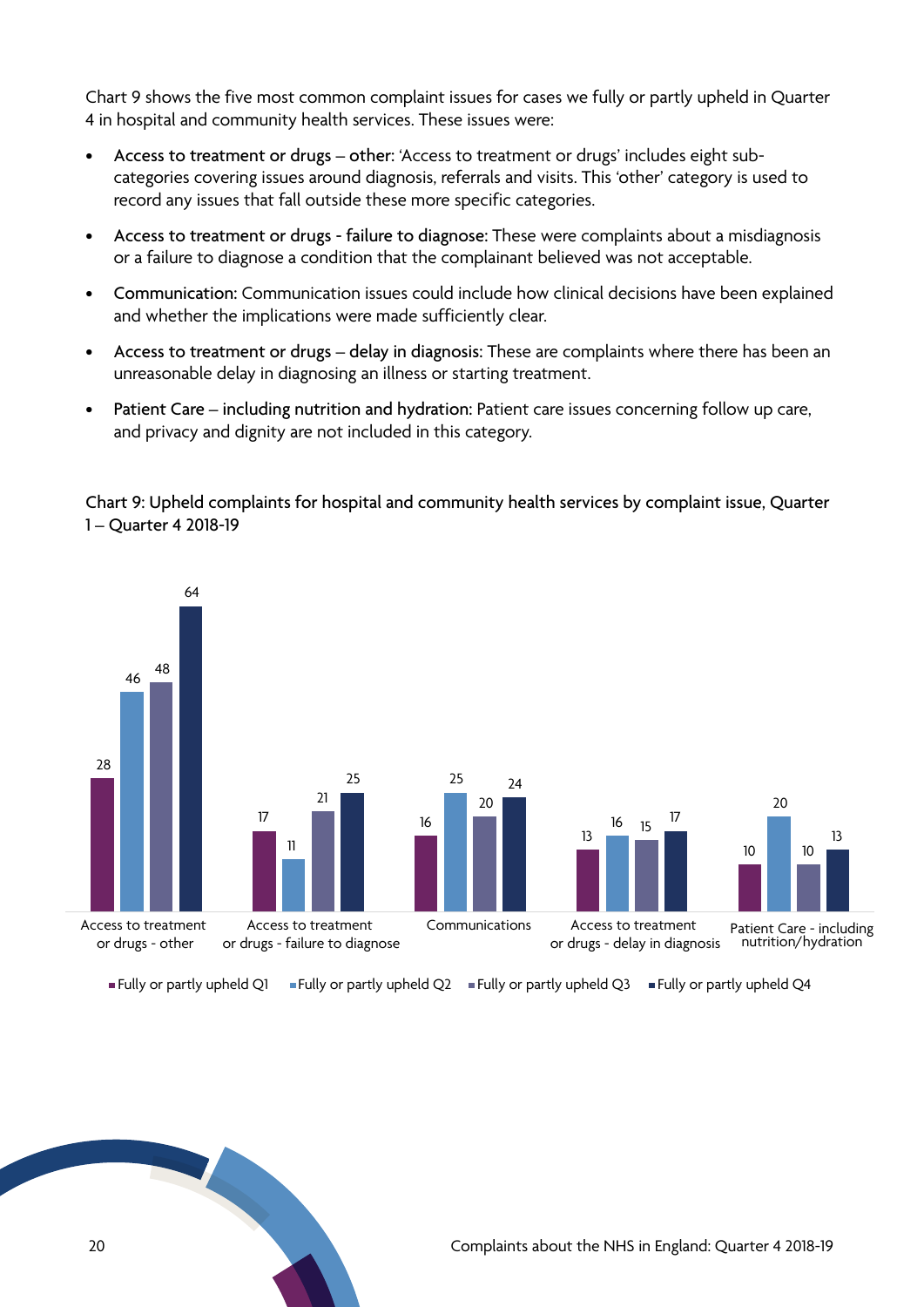Chart 9 shows the five most common complaint issues for cases we fully or partly upheld in Quarter 4 in hospital and community health services. These issues were:

- Access to treatment or drugs other: 'Access to treatment or drugs' includes eight subcategories covering issues around diagnosis, referrals and visits. This 'other' category is used to record any issues that fall outside these more specific categories.
- Access to treatment or drugs failure to diagnose: These were complaints about a misdiagnosis or a failure to diagnose a condition that the complainant believed was not acceptable.
- Communication: Communication issues could include how clinical decisions have been explained and whether the implications were made sufficiently clear.
- Access to treatment or drugs delay in diagnosis: These are complaints where there has been an unreasonable delay in diagnosing an illness or starting treatment.
- Patient Care including nutrition and hydration: Patient care issues concerning follow up care, and privacy and dignity are not included in this category.

Chart 9: Upheld complaints for hospital and community health services by complaint issue, Quarter 1 – Quarter 4 2018-19



 $\blacksquare$  Fully or partly upheld Q1  $\blacksquare$  Fully or partly upheld Q2  $\blacksquare$  Fully or partly upheld Q4  $\blacksquare$ 

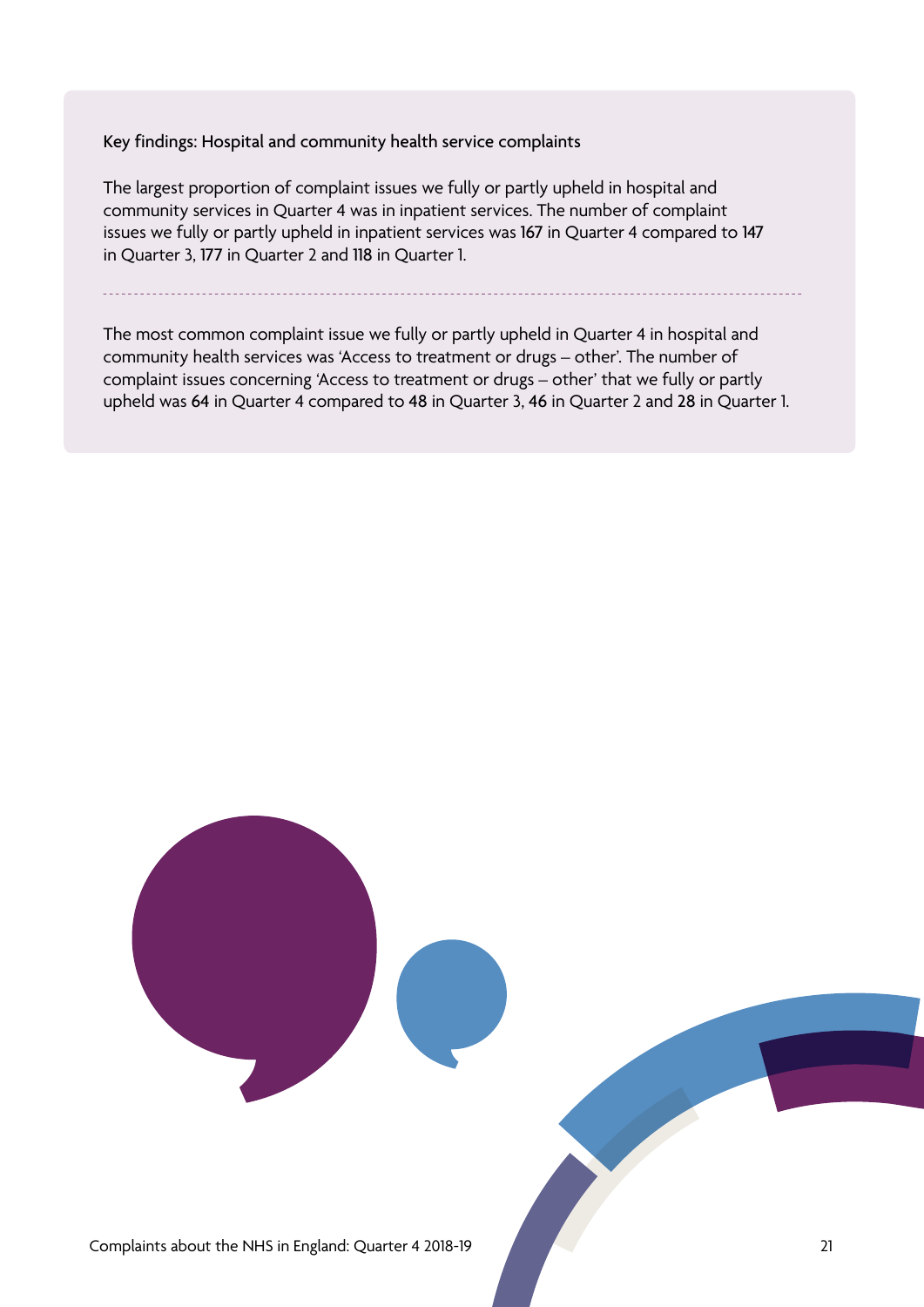#### Key findings: Hospital and community health service complaints

The largest proportion of complaint issues we fully or partly upheld in hospital and community services in Quarter 4 was in inpatient services. The number of complaint issues we fully or partly upheld in inpatient services was 167 in Quarter 4 compared to 147 in Quarter 3, 177 in Quarter 2 and 118 in Quarter 1.

The most common complaint issue we fully or partly upheld in Quarter 4 in hospital and community health services was 'Access to treatment or drugs – other'. The number of complaint issues concerning 'Access to treatment or drugs – other' that we fully or partly upheld was 64 in Quarter 4 compared to 48 in Quarter 3, 46 in Quarter 2 and 28 in Quarter 1.

-----------------------------------------------------------------------------------------------------------------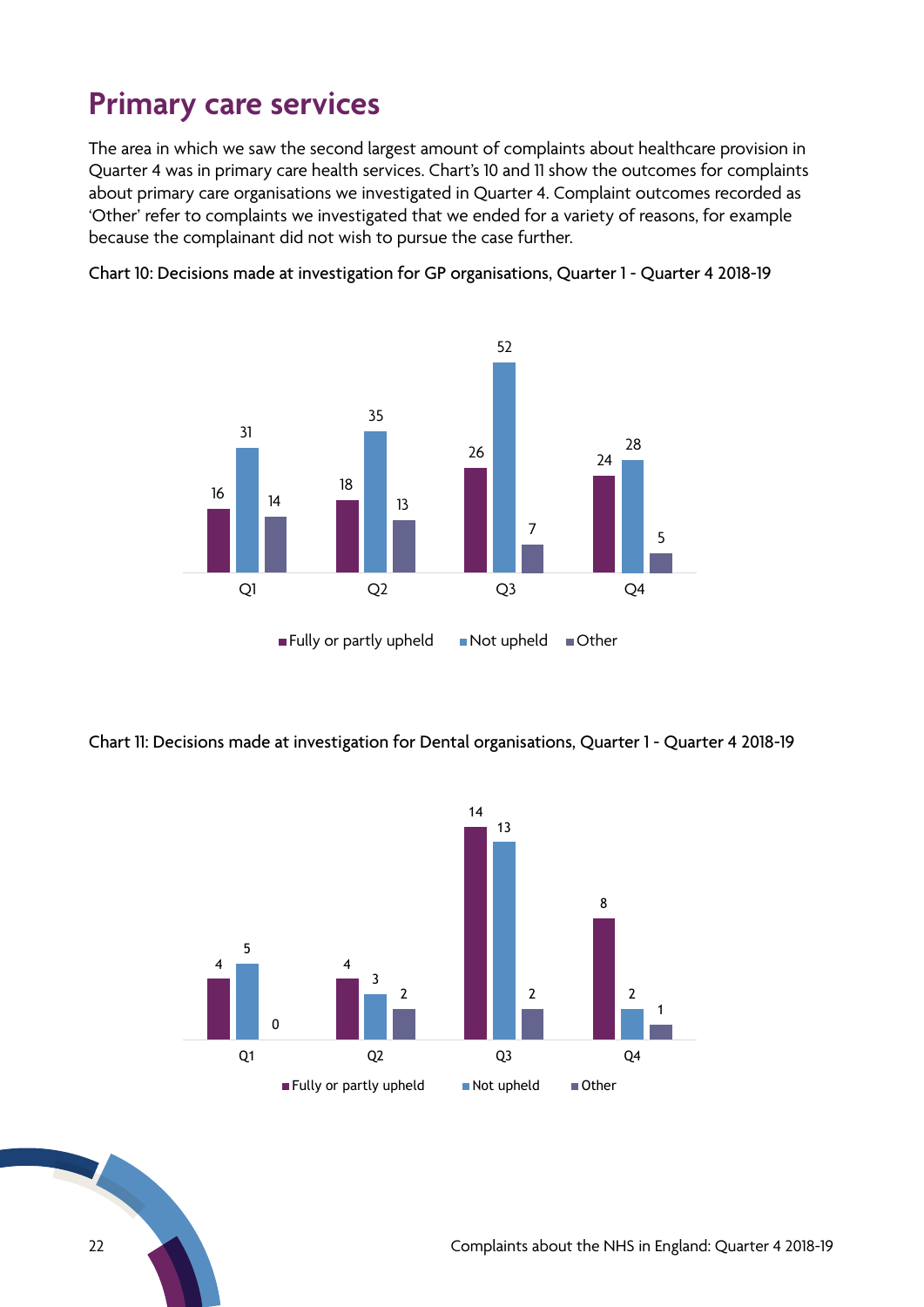### <span id="page-21-0"></span>**Primary care services**

The area in which we saw the second largest amount of complaints about healthcare provision in Quarter 4 was in primary care health services. Chart's 10 and 11 show the outcomes for complaints about primary care organisations we investigated in Quarter 4. Complaint outcomes recorded as 'Other' refer to complaints we investigated that we ended for a variety of reasons, for example because the complainant did not wish to pursue the case further.

Chart 10: Decisions made at investigation for GP organisations, Quarter 1 - Quarter 4 2018-19



Chart 11: Decisions made at investigation for Dental organisations, Quarter 1 - Quarter 4 2018-19

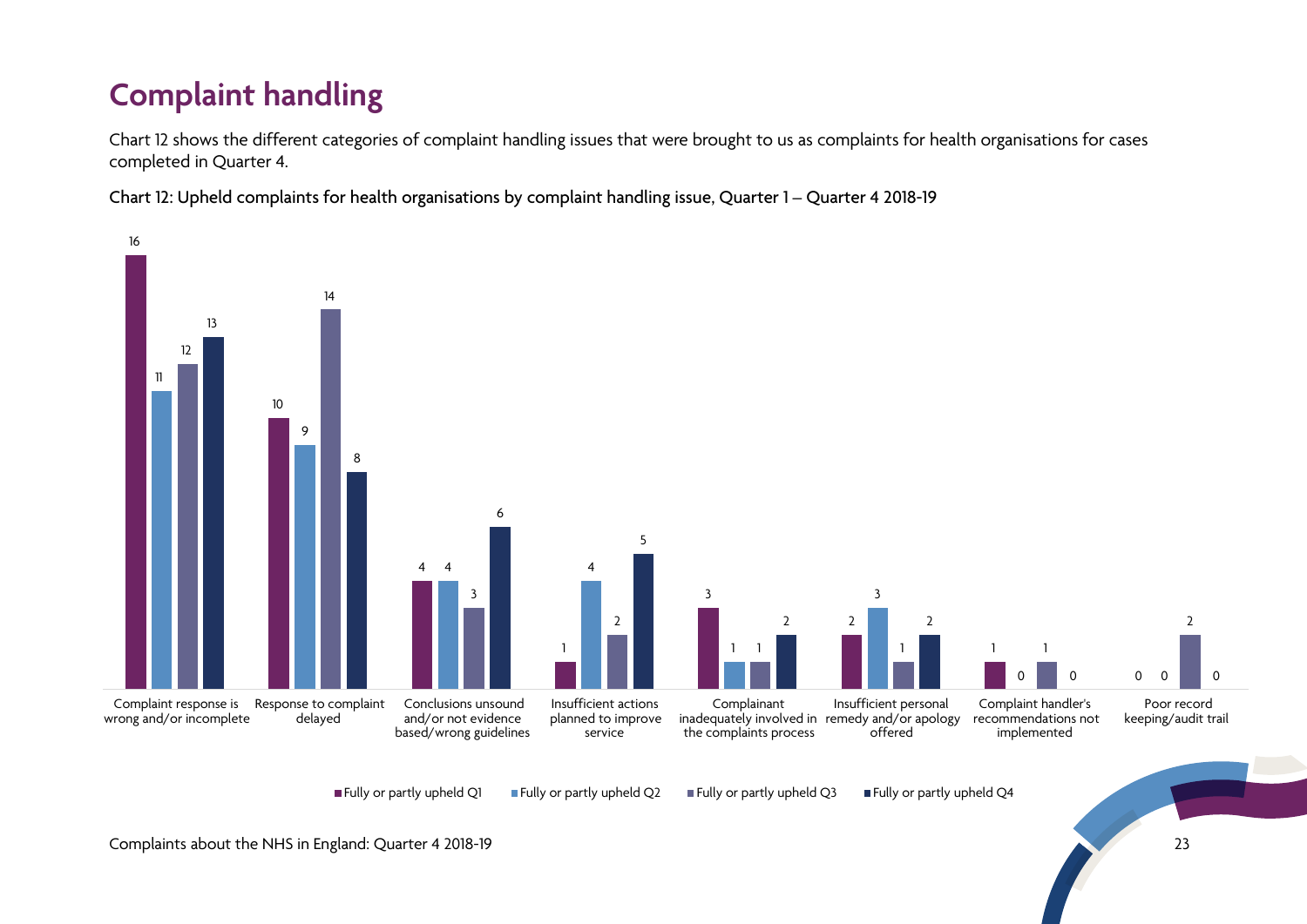## <span id="page-22-0"></span>**Complaint handling**

Chart 12 shows the different categories of complaint handling issues that were brought to us as complaints for health organisations for cases completed in Quarter 4.

Chart 12: Upheld complaints for health organisations by complaint handling issue, Quarter 1 – Quarter 4 2018-19



■ Fully or partly upheld  $\bigcirc$   $\blacksquare$  Fully or partly upheld  $\bigcirc$   $\blacksquare$  Fully or partly upheld  $\bigcirc$  3

 $\blacksquare$  Fully or partly upheld Q4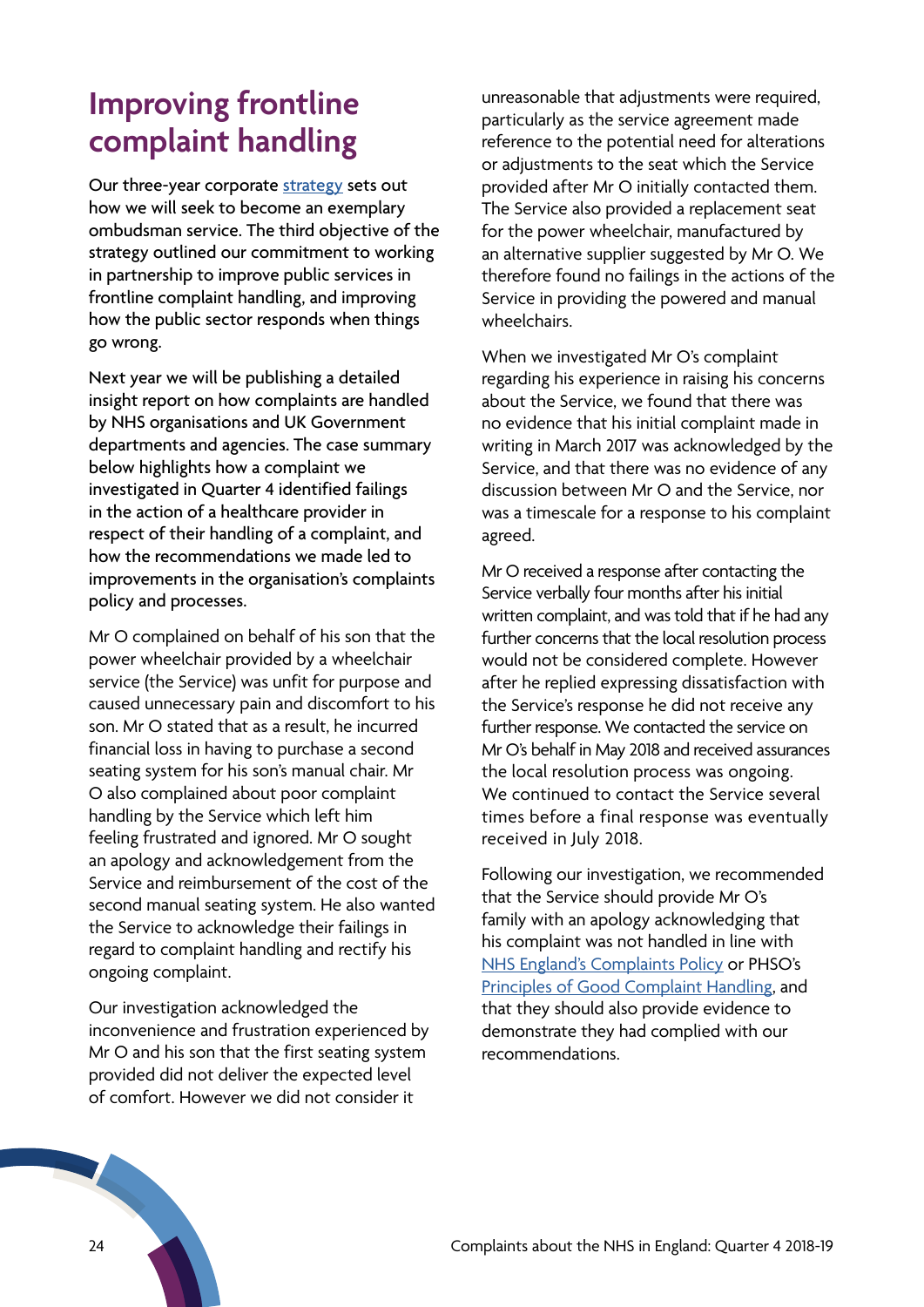### <span id="page-23-0"></span>**Improving frontline complaint handling**

Our three-year corporate [strategy](https://www.ombudsman.org.uk/our-strategy-2018-21) sets out how we will seek to become an exemplary ombudsman service. The third objective of the strategy outlined our commitment to working in partnership to improve public services in frontline complaint handling, and improving how the public sector responds when things go wrong.

Next year we will be publishing a detailed insight report on how complaints are handled by NHS organisations and UK Government departments and agencies. The case summary below highlights how a complaint we investigated in Quarter 4 identified failings in the action of a healthcare provider in respect of their handling of a complaint, and how the recommendations we made led to improvements in the organisation's complaints policy and processes.

Mr O complained on behalf of his son that the power wheelchair provided by a wheelchair service (the Service) was unfit for purpose and caused unnecessary pain and discomfort to his son. Mr O stated that as a result, he incurred financial loss in having to purchase a second seating system for his son's manual chair. Mr O also complained about poor complaint handling by the Service which left him feeling frustrated and ignored. Mr O sought an apology and acknowledgement from the Service and reimbursement of the cost of the second manual seating system. He also wanted the Service to acknowledge their failings in regard to complaint handling and rectify his ongoing complaint.

Our investigation acknowledged the inconvenience and frustration experienced by Mr O and his son that the first seating system provided did not deliver the expected level of comfort. However we did not consider it

unreasonable that adjustments were required, particularly as the service agreement made reference to the potential need for alterations or adjustments to the seat which the Service provided after Mr O initially contacted them. The Service also provided a replacement seat for the power wheelchair, manufactured by an alternative supplier suggested by Mr O. We therefore found no failings in the actions of the Service in providing the powered and manual wheelchairs.

When we investigated Mr O's complaint regarding his experience in raising his concerns about the Service, we found that there was no evidence that his initial complaint made in writing in March 2017 was acknowledged by the Service, and that there was no evidence of any discussion between Mr O and the Service, nor was a timescale for a response to his complaint agreed.

Mr O received a response after contacting the Service verbally four months after his initial written complaint, and was told that if he had any further concerns that the local resolution process would not be considered complete. However after he replied expressing dissatisfaction with the Service's response he did not receive any further response. We contacted the service on Mr O's behalf in May 2018 and received assurances the local resolution process was ongoing. We continued to contact the Service several times before a final response was eventually received in July 2018.

Following our investigation, we recommended that the Service should provide Mr O's family with an apology acknowledging that his complaint was not handled in line with [NHS England's Complaints Policy](https://www.england.nhs.uk/wp-content/uploads/2016/07/nhse-complaints-policy-june-2017.pdf) or PHSO's [Principles of Good Complaint Handling,](https://www.ombudsman.org.uk/about-us/our-principles/principles-good-complaint-handling) and that they should also provide evidence to demonstrate they had complied with our recommendations.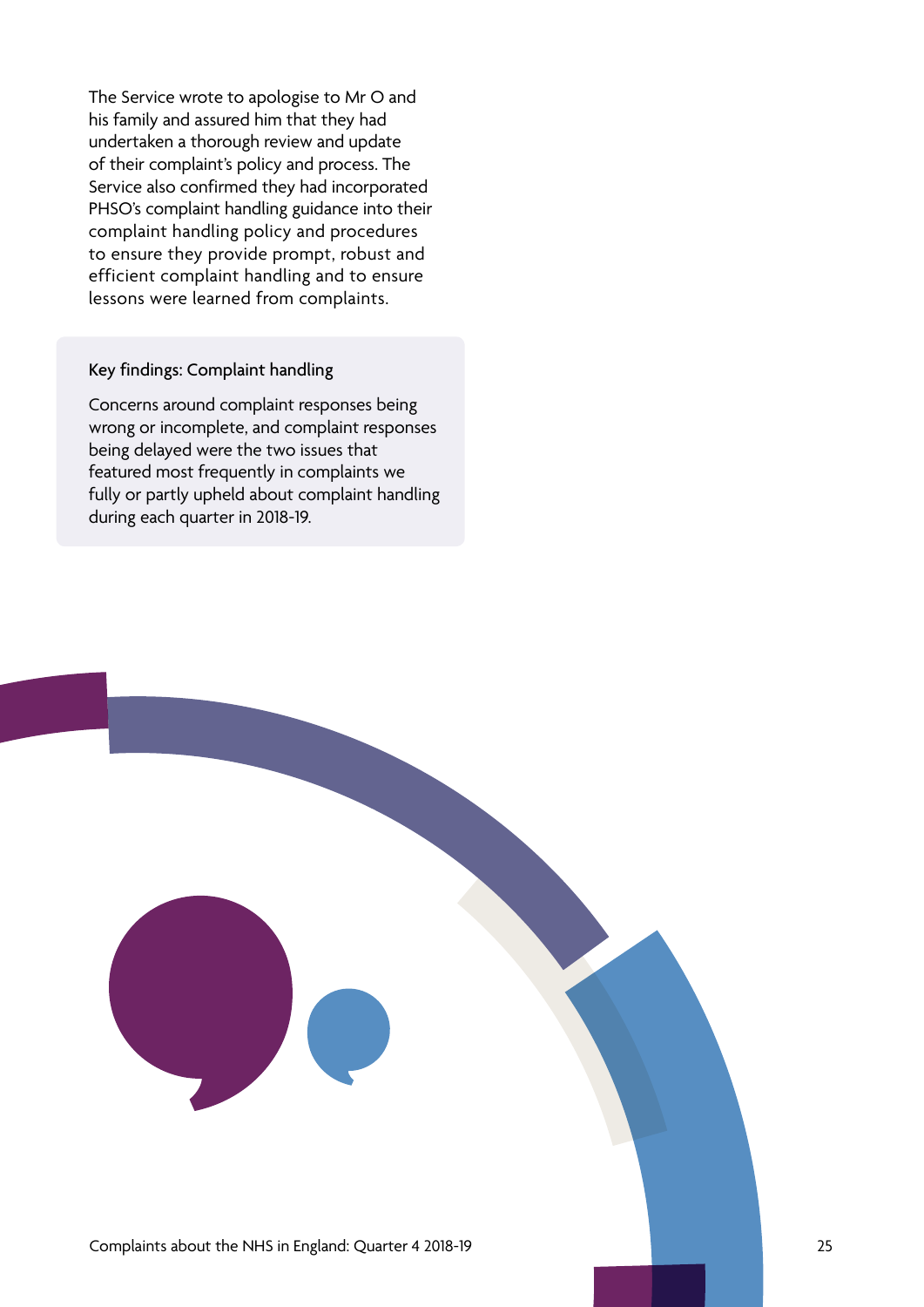The Service wrote to apologise to Mr O and his family and assured him that they had undertaken a thorough review and update of their complaint's policy and process. The Service also confirmed they had incorporated PHSO's complaint handling guidance into their complaint handling policy and procedures to ensure they provide prompt, robust and efficient complaint handling and to ensure lessons were learned from complaints.

#### Key findings: Complaint handling

Concerns around complaint responses being wrong or incomplete, and complaint responses being delayed were the two issues that featured most frequently in complaints we fully or partly upheld about complaint handling during each quarter in 2018-19.

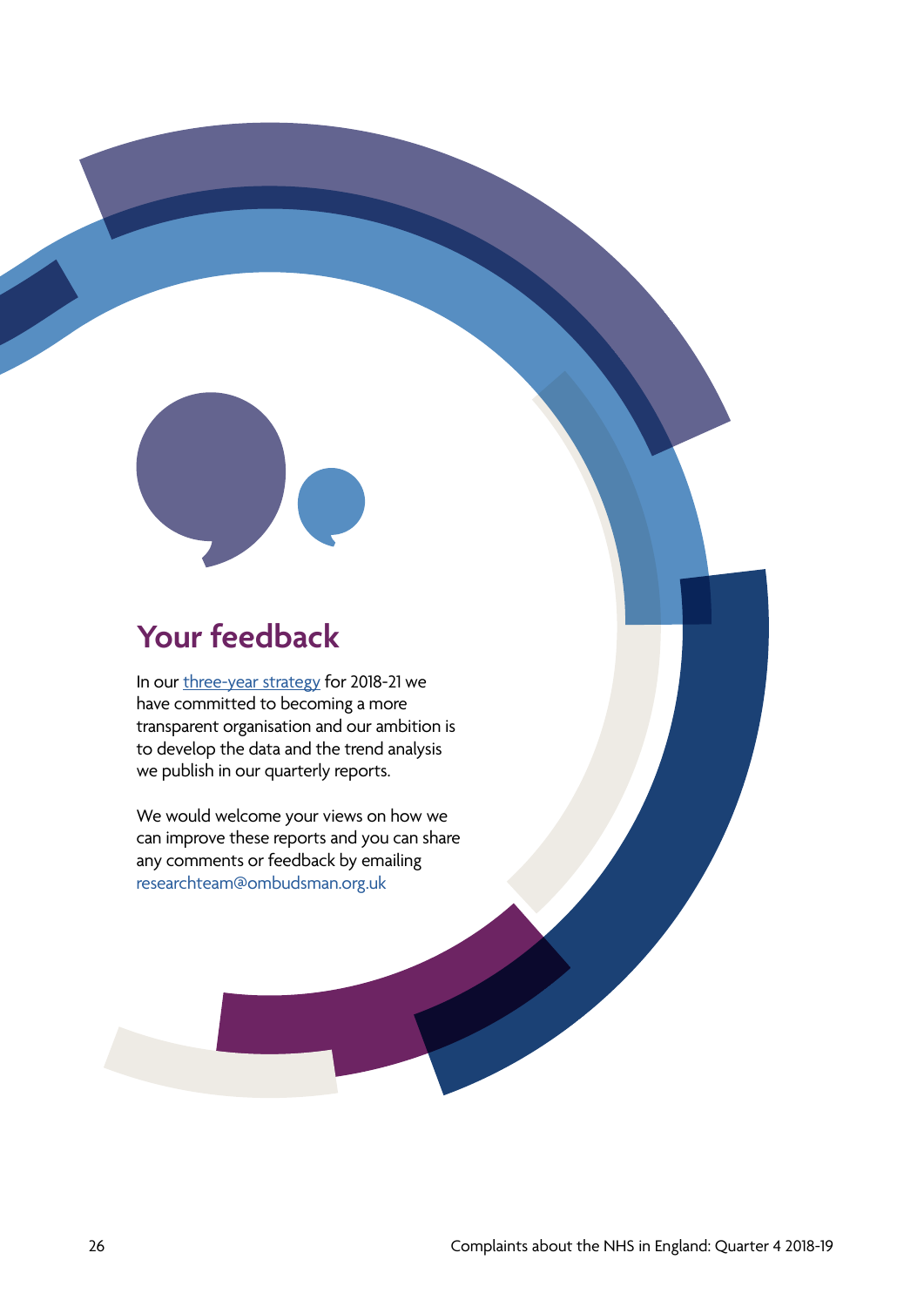<span id="page-25-0"></span>

### **Your feedback**

In our [three-year strategy](https://www.ombudsman.org.uk/our-strategy-2018-21) for 2018-21 we have committed to becoming a more transparent organisation and our ambition is to develop the data and the trend analysis we publish in our quarterly reports.

We would welcome your views on how we can improve these reports and you can share any comments or feedback by emailing [researchteam@ombudsman.org.uk](mailto:researchteam%40ombudsman.org.uk?subject=RE%3A%20PHSO%20Quarter%204%202018-19)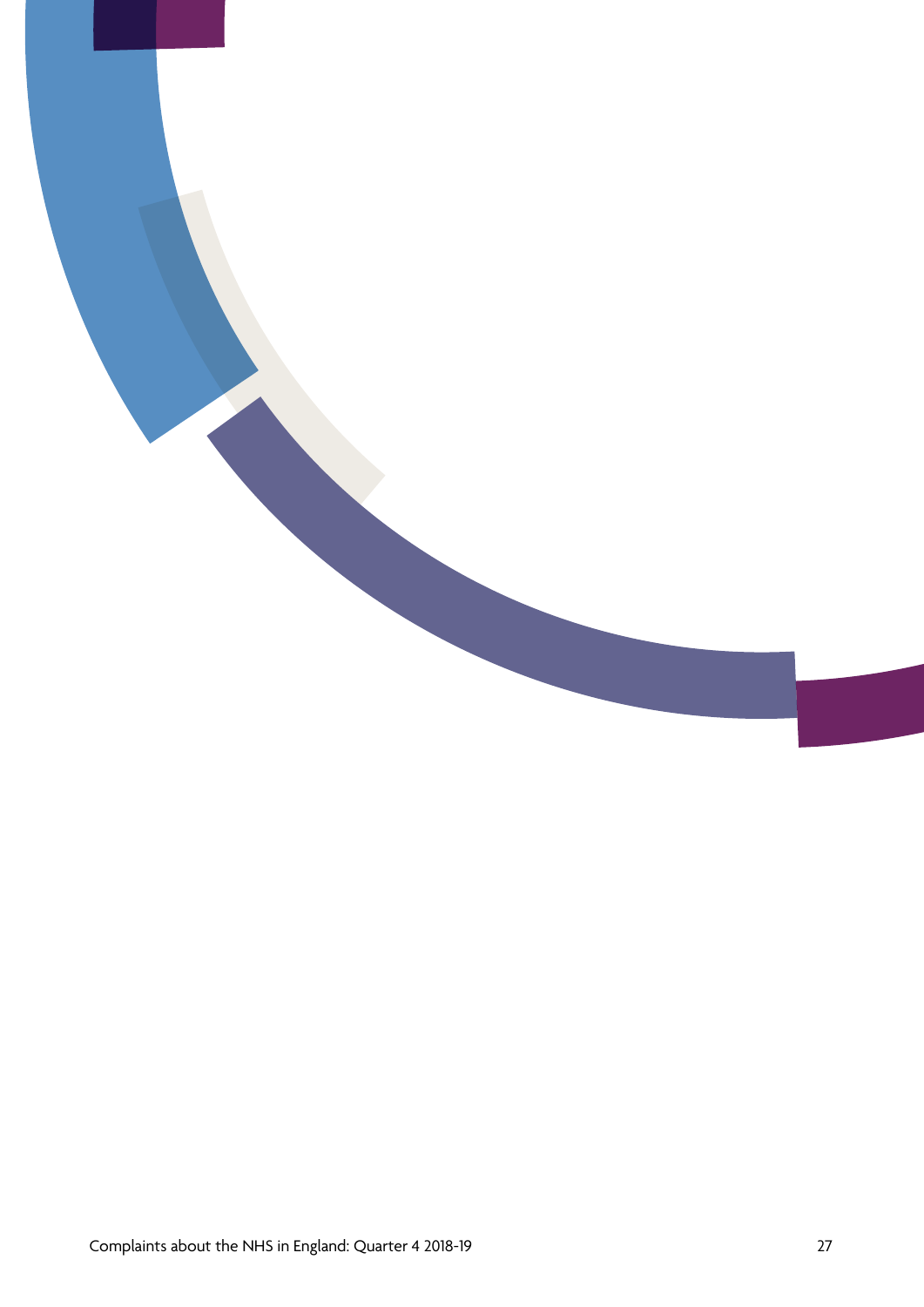